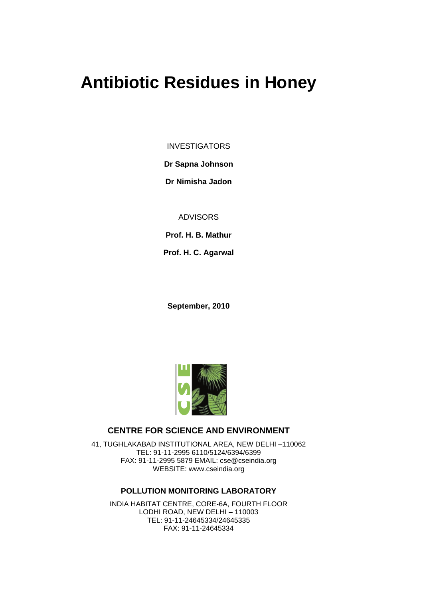# **Antibiotic Residues in Honey**

INVESTIGATORS

**Dr Sapna Johnson**

**Dr Nimisha Jadon**

ADVISORS

**Prof. H. B. Mathur**

**Prof. H. C. Agarwal**

**September, 2010**



# **CENTRE FOR SCIENCE AND ENVIRONMENT**

41, TUGHLAKABAD INSTITUTIONAL AREA, NEW DELHI –110062 TEL: 91-11-2995 6110/5124/6394/6399 FAX: 91-11-2995 5879 EMAIL: cse@cseindia.org WEBSITE: www.cseindia.org

# **POLLUTION MONITORING LABORATORY**

INDIA HABITAT CENTRE, CORE-6A, FOURTH FLOOR LODHI ROAD, NEW DELHI – 110003 TEL: 91-11-24645334/24645335 FAX: 91-11-24645334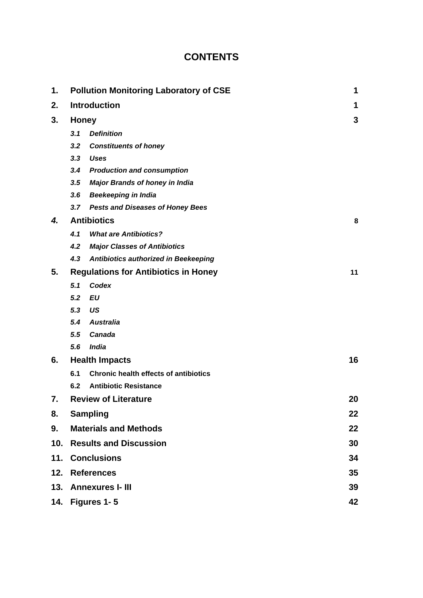# **CONTENTS**

| 1.              |              | <b>Pollution Monitoring Laboratory of CSE</b> | 1  |
|-----------------|--------------|-----------------------------------------------|----|
| 2.              |              | <b>Introduction</b>                           | 1  |
| 3.              | <b>Honey</b> |                                               | 3  |
|                 | 3.1          | <b>Definition</b>                             |    |
|                 | 3.2          | <b>Constituents of honey</b>                  |    |
|                 | 3.3          | <b>Uses</b>                                   |    |
|                 | 3.4          | <b>Production and consumption</b>             |    |
|                 | 3.5          | <b>Major Brands of honey in India</b>         |    |
|                 | 3.6          | <b>Beekeeping in India</b>                    |    |
|                 |              | 3.7 Pests and Diseases of Honey Bees          |    |
| 4.              |              | <b>Antibiotics</b>                            | 8  |
|                 | 4.1          | <b>What are Antibiotics?</b>                  |    |
|                 | 4.2          | <b>Major Classes of Antibiotics</b>           |    |
|                 | 4.3          | Antibiotics authorized in Beekeeping          |    |
| 5.              |              | <b>Regulations for Antibiotics in Honey</b>   | 11 |
|                 | 5.1          | Codex                                         |    |
|                 | 5.2          | <b>EU</b>                                     |    |
|                 | 5.3          | US                                            |    |
|                 | 5.4          | <b>Australia</b>                              |    |
|                 | 5.5          | <b>Canada</b>                                 |    |
|                 | 5.6          | <b>India</b>                                  |    |
| 6.              |              | <b>Health Impacts</b>                         | 16 |
|                 | 6.1          | <b>Chronic health effects of antibiotics</b>  |    |
|                 | 6.2          | <b>Antibiotic Resistance</b>                  |    |
| 7.              |              | <b>Review of Literature</b>                   | 20 |
| 8.              |              | <b>Sampling</b>                               | 22 |
| 9.              |              | <b>Materials and Methods</b>                  | 22 |
| 10 <sub>1</sub> |              | <b>Results and Discussion</b>                 | 30 |
|                 |              | 11. Conclusions                               | 34 |
| 12.             |              | <b>References</b>                             | 35 |
| 13.             |              | <b>Annexures I- III</b>                       | 39 |
| 14.             |              | Figures 1-5                                   | 42 |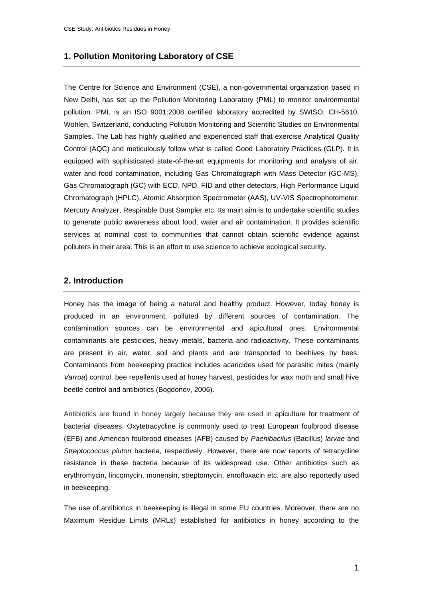#### **1. Pollution Monitoring Laboratory of CSE**

The Centre for Science and Environment (CSE), a non-governmental organization based in New Delhi, has set up the Pollution Monitoring Laboratory (PML) to monitor environmental pollution. PML is an ISO 9001:2008 certified laboratory accredited by SWISO, CH-5610, Wohlen, Switzerland, conducting Pollution Monitoring and Scientific Studies on Environmental Samples. The Lab has highly qualified and experienced staff that exercise Analytical Quality Control (AQC) and meticulously follow what is called Good Laboratory Practices (GLP). It is equipped with sophisticated state-of-the-art equipments for monitoring and analysis of air, water and food contamination, including Gas Chromatograph with Mass Detector (GC-MS), Gas Chromatograph (GC) with ECD, NPD, FID and other detectors, High Performance Liquid Chromatograph (HPLC), Atomic Absorption Spectrometer (AAS), UV-VIS Spectrophotometer, Mercury Analyzer, Respirable Dust Sampler etc. Its main aim is to undertake scientific studies to generate public awareness about food, water and air contamination. It provides scientific services at nominal cost to communities that cannot obtain scientific evidence against polluters in their area. This is an effort to use science to achieve ecological security.

#### **2. Introduction**

Honey has the image of being a natural and healthy product. However, today honey is produced in an environment, polluted by different sources of contamination. The contamination sources can be environmental and apicultural ones. Environmental contaminants are pesticides, heavy metals, bacteria and radioactivity. These contaminants are present in air, water, soil and plants and are transported to beehives by bees. Contaminants from beekeeping practice includes acaricides used for parasitic mites (mainly *Varroa*) control, bee repellents used at honey harvest, pesticides for wax moth and small hive beetle control and antibiotics (Bogdonov, 2006).

Antibiotics are found in honey largely because they are used in apiculture for treatment of bacterial diseases. Oxytetracycline is commonly used to treat European foulbrood disease (EFB) and American foulbrood diseases (AFB) caused by *Paenibacilus* (Bacillus) *larvae* and *Streptococcus pluton* bacteria, respectively. However, there are now reports of tetracycline resistance in these bacteria because of its widespread use. Other antibiotics such as erythromycin, lincomycin, monensin, streptomycin, enrofloxacin etc. are also reportedly used in beekeeping.

The use of antibiotics in beekeeping is illegal in some EU countries. Moreover, there are no Maximum Residue Limits (MRLs) established for antibiotics in honey according to the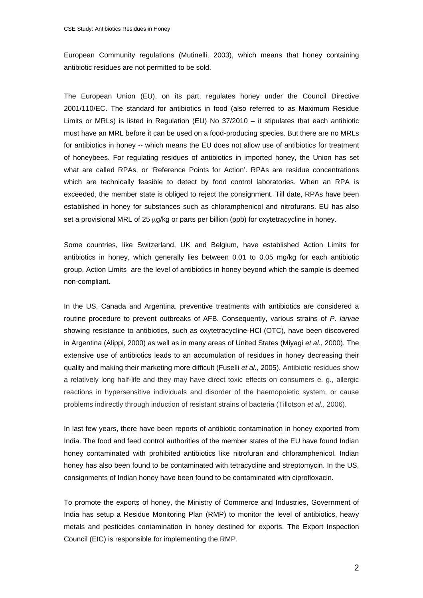European Community regulations (Mutinelli, 2003), which means that honey containing antibiotic residues are not permitted to be sold.

The European Union (EU), on its part, regulates honey under the Council Directive 2001/110/EC. The standard for antibiotics in food (also referred to as Maximum Residue Limits or MRLs) is listed in Regulation (EU) No 37/2010 – it stipulates that each antibiotic must have an MRL before it can be used on a food-producing species. But there are no MRLs for antibiotics in honey -- which means the EU does not allow use of antibiotics for treatment of honeybees. For regulating residues of antibiotics in imported honey, the Union has set what are called RPAs, or 'Reference Points for Action'. RPAs are residue concentrations which are technically feasible to detect by food control laboratories. When an RPA is exceeded, the member state is obliged to reject the consignment. Till date, RPAs have been established in honey for substances such as chloramphenicol and nitrofurans. EU has also set a provisional MRL of 25 μg/kg or parts per billion (ppb) for oxytetracycline in honey.

Some countries, like Switzerland, UK and Belgium, have established Action Limits for antibiotics in honey, which generally lies between 0.01 to 0.05 mg/kg for each antibiotic group. Action Limits are the level of antibiotics in honey beyond which the sample is deemed non-compliant.

In the US, Canada and Argentina, preventive treatments with antibiotics are considered a routine procedure to prevent outbreaks of AFB. Consequently, various strains of *P. larvae*  showing resistance to antibiotics, such as oxytetracycline-HCl (OTC), have been discovered in Argentina (Alippi, 2000) as well as in many areas of United States (Miyagi *et al*., 2000). The extensive use of antibiotics leads to an accumulation of residues in honey decreasing their quality and making their marketing more difficult (Fuselli *et al*., 2005). Antibiotic residues show a relatively long half-life and they may have direct toxic effects on consumers e. g., allergic reactions in hypersensitive individuals and disorder of the haemopoietic system, or cause problems indirectly through induction of resistant strains of bacteria (Tillotson *et al.*, 2006).

In last few years, there have been reports of antibiotic contamination in honey exported from India. The food and feed control authorities of the member states of the EU have found Indian honey contaminated with prohibited antibiotics like nitrofuran and chloramphenicol. Indian honey has also been found to be contaminated with tetracycline and streptomycin. In the US, consignments of Indian honey have been found to be contaminated with ciprofloxacin.

To promote the exports of honey, the Ministry of Commerce and Industries, Government of India has setup a Residue Monitoring Plan (RMP) to monitor the level of antibiotics, heavy metals and pesticides contamination in honey destined for exports. The Export Inspection Council (EIC) is responsible for implementing the RMP.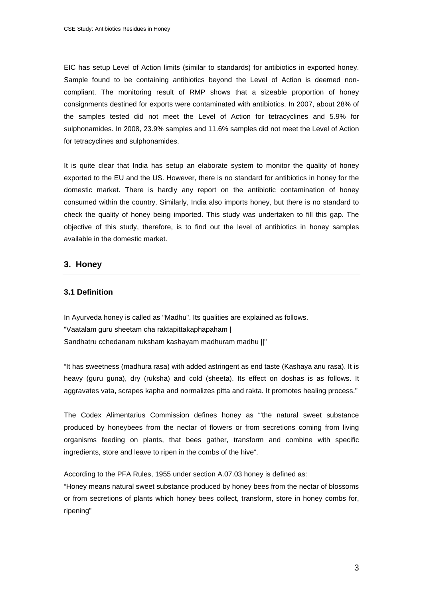EIC has setup Level of Action limits (similar to standards) for antibiotics in exported honey. Sample found to be containing antibiotics beyond the Level of Action is deemed noncompliant. The monitoring result of RMP shows that a sizeable proportion of honey consignments destined for exports were contaminated with antibiotics. In 2007, about 28% of the samples tested did not meet the Level of Action for tetracyclines and 5.9% for sulphonamides. In 2008, 23.9% samples and 11.6% samples did not meet the Level of Action for tetracyclines and sulphonamides.

It is quite clear that India has setup an elaborate system to monitor the quality of honey exported to the EU and the US. However, there is no standard for antibiotics in honey for the domestic market. There is hardly any report on the antibiotic contamination of honey consumed within the country. Similarly, India also imports honey, but there is no standard to check the quality of honey being imported. This study was undertaken to fill this gap. The objective of this study, therefore, is to find out the level of antibiotics in honey samples available in the domestic market.

# **3. Honey**

# **3.1 Definition**

In Ayurveda honey is called as "Madhu". Its qualities are explained as follows. "Vaatalam guru sheetam cha raktapittakaphapaham | Sandhatru cchedanam ruksham kashayam madhuram madhu ||"

"It has sweetness (madhura rasa) with added astringent as end taste (Kashaya anu rasa). It is heavy (guru guna), dry (ruksha) and cold (sheeta). Its effect on doshas is as follows. It aggravates vata, scrapes kapha and normalizes pitta and rakta. It promotes healing process."

The Codex Alimentarius Commission defines honey as "'the natural sweet substance produced by honeybees from the nectar of flowers or from secretions coming from living organisms feeding on plants, that bees gather, transform and combine with specific ingredients, store and leave to ripen in the combs of the hive".

According to the PFA Rules, 1955 under section A.07.03 honey is defined as:

"Honey means natural sweet substance produced by honey bees from the nectar of blossoms or from secretions of plants which honey bees collect, transform, store in honey combs for, ripening"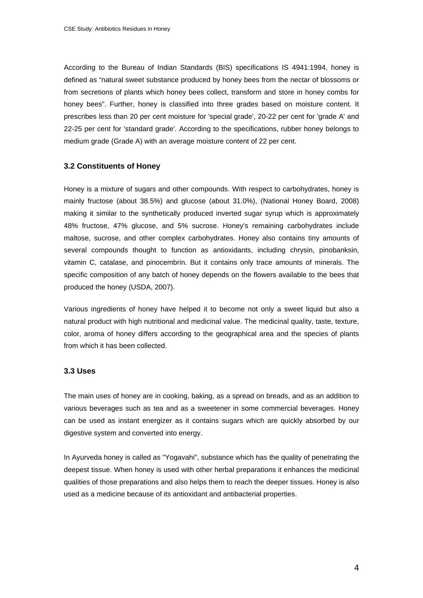According to the Bureau of Indian Standards (BIS) specifications IS 4941:1994, honey is defined as "natural sweet substance produced by honey bees from the nectar of blossoms or from secretions of plants which honey bees collect, transform and store in honey combs for honey bees". Further, honey is classified into three grades based on moisture content. It prescribes less than 20 per cent moisture for 'special grade', 20-22 per cent for 'grade A' and 22-25 per cent for 'standard grade'. According to the specifications, rubber honey belongs to medium grade (Grade A) with an average moisture content of 22 per cent.

#### **3.2 Constituents of Honey**

Honey is a mixture of sugars and other compounds. With respect to carbohydrates, honey is mainly fructose (about 38.5%) and glucose (about 31.0%), (National Honey Board, 2008) making it similar to the synthetically produced inverted sugar syrup which is approximately 48% fructose, 47% glucose, and 5% sucrose. Honey's remaining carbohydrates include maltose, sucrose, and other complex carbohydrates. Honey also contains tiny amounts of several compounds thought to function as antioxidants, including chrysin, pinobanksin, vitamin C, catalase, and pinocembrin. But it contains only trace amounts of minerals. The specific composition of any batch of honey depends on the flowers available to the bees that produced the honey (USDA, 2007).

Various ingredients of honey have helped it to become not only a sweet liquid but also a natural product with high nutritional and medicinal value. The medicinal quality, taste, texture, color, aroma of honey differs according to the geographical area and the species of plants from which it has been collected.

#### **3.3 Uses**

The main uses of honey are in cooking, baking, as a spread on breads, and as an addition to various beverages such as tea and as a sweetener in some commercial beverages. Honey can be used as instant energizer as it contains sugars which are quickly absorbed by our digestive system and converted into energy.

In Ayurveda honey is called as "Yogavahi", substance which has the quality of penetrating the deepest tissue. When honey is used with other herbal preparations it enhances the medicinal qualities of those preparations and also helps them to reach the deeper tissues. Honey is also used as a medicine because of its antioxidant and antibacterial properties.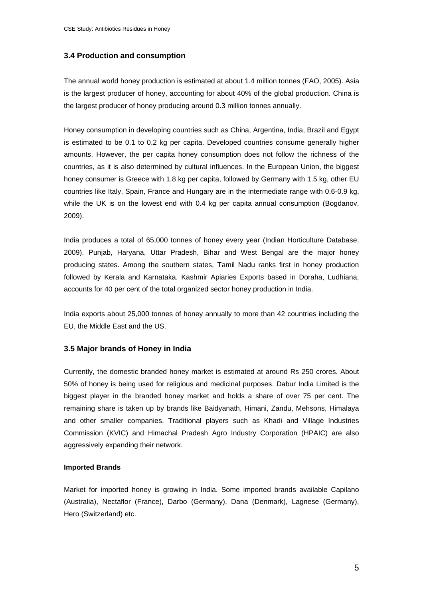# **3.4 Production and consumption**

The annual world honey production is estimated at about 1.4 million tonnes (FAO, 2005). Asia is the largest producer of honey, accounting for about 40% of the global production. China is the largest producer of honey producing around 0.3 million tonnes annually.

Honey consumption in developing countries such as China, Argentina, India, Brazil and Egypt is estimated to be 0.1 to 0.2 kg per capita. Developed countries consume generally higher amounts. However, the per capita honey consumption does not follow the richness of the countries, as it is also determined by cultural influences. In the European Union, the biggest honey consumer is Greece with 1.8 kg per capita, followed by Germany with 1.5 kg, other EU countries like Italy, Spain, France and Hungary are in the intermediate range with 0.6-0.9 kg, while the UK is on the lowest end with 0.4 kg per capita annual consumption (Bogdanov, 2009).

India produces a total of 65,000 tonnes of honey every year (Indian Horticulture Database, 2009). Punjab, Haryana, Uttar Pradesh, Bihar and West Bengal are the major honey producing states. Among the southern states, Tamil Nadu ranks first in honey production followed by Kerala and Karnataka. Kashmir Apiaries Exports based in Doraha, Ludhiana, accounts for 40 per cent of the total organized sector honey production in India.

India exports about 25,000 tonnes of honey annually to more than 42 countries including the EU, the Middle East and the US.

#### **3.5 Major brands of Honey in India**

Currently, the domestic branded honey market is estimated at around Rs 250 crores. About 50% of honey is being used for religious and medicinal purposes. Dabur India Limited is the biggest player in the branded honey market and holds a share of over 75 per cent. The remaining share is taken up by brands like Baidyanath, Himani, Zandu, Mehsons, Himalaya and other smaller companies. Traditional players such as Khadi and Village Industries Commission (KVIC) and Himachal Pradesh Agro Industry Corporation (HPAIC) are also aggressively expanding their network.

#### **Imported Brands**

Market for imported honey is growing in India. Some imported brands available Capilano (Australia), Nectaflor (France), Darbo (Germany), Dana (Denmark), Lagnese (Germany), Hero (Switzerland) etc.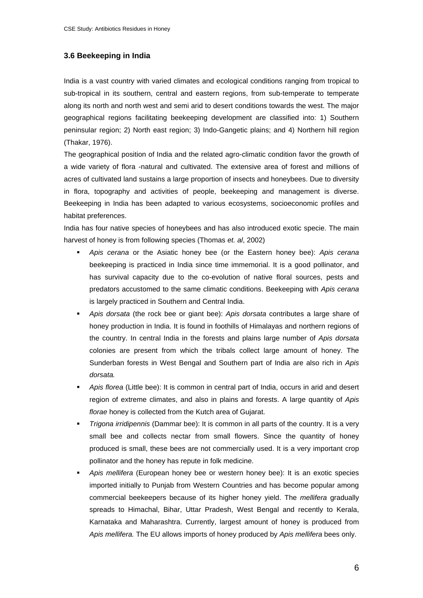# **3.6 Beekeeping in India**

India is a vast country with varied climates and ecological conditions ranging from tropical to sub-tropical in its southern, central and eastern regions, from sub-temperate to temperate along its north and north west and semi arid to desert conditions towards the west. The major geographical regions facilitating beekeeping development are classified into: 1) Southern peninsular region; 2) North east region; 3) Indo-Gangetic plains; and 4) Northern hill region (Thakar, 1976).

The geographical position of India and the related agro-climatic condition favor the growth of a wide variety of flora -natural and cultivated. The extensive area of forest and millions of acres of cultivated land sustains a large proportion of insects and honeybees. Due to diversity in flora, topography and activities of people, beekeeping and management is diverse. Beekeeping in India has been adapted to various ecosystems, socioeconomic profiles and habitat preferences.

India has four native species of honeybees and has also introduced exotic specie. The main harvest of honey is from following species (Thomas *et. al*, 2002)

- *Apis cerana* or the Asiatic honey bee (or the Eastern honey bee): *Apis cerana* beekeeping is practiced in India since time immemorial. It is a good pollinator, and has survival capacity due to the co-evolution of native floral sources, pests and predators accustomed to the same climatic conditions. Beekeeping with *Apis cerana*  is largely practiced in Southern and Central India.
- *Apis dorsata* (the rock bee or giant bee): *Apis dorsata* contributes a large share of honey production in India. It is found in foothills of Himalayas and northern regions of the country. In central India in the forests and plains large number of *Apis dorsata*  colonies are present from which the tribals collect large amount of honey. The Sunderban forests in West Bengal and Southern part of India are also rich in *Apis dorsata.*
- *Apis florea* (Little bee): It is common in central part of India, occurs in arid and desert region of extreme climates, and also in plains and forests. A large quantity of *Apis florae* honey is collected from the Kutch area of Gujarat.
- *Trigona irridipennis* (Dammar bee): It is common in all parts of the country. It is a very small bee and collects nectar from small flowers. Since the quantity of honey produced is small, these bees are not commercially used. It is a very important crop pollinator and the honey has repute in folk medicine.
- *Apis mellifera* (European honey bee or western honey bee): It is an exotic species imported initially to Punjab from Western Countries and has become popular among commercial beekeepers because of its higher honey yield. The *mellifera* gradually spreads to Himachal, Bihar, Uttar Pradesh, West Bengal and recently to Kerala, Karnataka and Maharashtra. Currently, largest amount of honey is produced from *Apis mellifera.* The EU allows imports of honey produced by *Apis mellifera* bees only.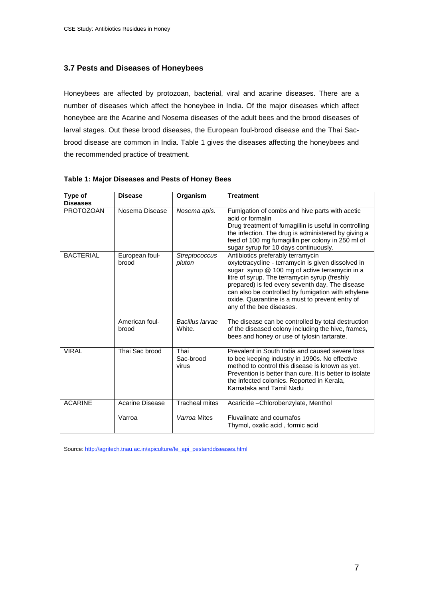# **3.7 Pests and Diseases of Honeybees**

Honeybees are affected by protozoan, bacterial, viral and acarine diseases. There are a number of diseases which affect the honeybee in India. Of the major diseases which affect honeybee are the Acarine and Nosema diseases of the adult bees and the brood diseases of larval stages. Out these brood diseases, the European foul-brood disease and the Thai Sacbrood disease are common in India. Table 1 gives the diseases affecting the honeybees and the recommended practice of treatment.

| Type of          | <b>Disease</b>          | Organism                   | <b>Treatment</b>                                                                                                                                                                                                                                                                                                                                                                   |
|------------------|-------------------------|----------------------------|------------------------------------------------------------------------------------------------------------------------------------------------------------------------------------------------------------------------------------------------------------------------------------------------------------------------------------------------------------------------------------|
| <b>Diseases</b>  |                         |                            |                                                                                                                                                                                                                                                                                                                                                                                    |
| <b>PROTOZOAN</b> | Nosema Disease          | Nosema apis.               | Fumigation of combs and hive parts with acetic<br>acid or formalin<br>Drug treatment of fumagillin is useful in controlling<br>the infection. The drug is administered by giving a<br>feed of 100 mg fumagillin per colony in 250 ml of<br>sugar syrup for 10 days continuously.                                                                                                   |
| <b>BACTERIAL</b> | European foul-<br>brood | Streptococcus<br>pluton    | Antibiotics preferably terramycin<br>oxytetracycline - terramycin is given dissolved in<br>sugar syrup @ 100 mg of active terramycin in a<br>litre of syrup. The terramycin syrup (freshly<br>prepared) is fed every seventh day. The disease<br>can also be controlled by fumigation with ethylene<br>oxide. Quarantine is a must to prevent entry of<br>any of the bee diseases. |
|                  | American foul-<br>brood | Bacillus Iarvae<br>White.  | The disease can be controlled by total destruction<br>of the diseased colony including the hive, frames,<br>bees and honey or use of tylosin tartarate.                                                                                                                                                                                                                            |
| <b>VIRAL</b>     | Thai Sac brood          | Thai<br>Sac-brood<br>virus | Prevalent in South India and caused severe loss<br>to bee keeping industry in 1990s. No effective<br>method to control this disease is known as yet.<br>Prevention is better than cure. It is better to isolate<br>the infected colonies. Reported in Kerala,<br>Karnataka and Tamil Nadu                                                                                          |
| <b>ACARINE</b>   | Acarine Disease         | <b>Tracheal mites</b>      | Acaricide - Chlorobenzylate, Menthol                                                                                                                                                                                                                                                                                                                                               |
|                  | Varroa                  | Varroa Mites               | Fluvalinate and coumafos<br>Thymol, oxalic acid, formic acid                                                                                                                                                                                                                                                                                                                       |

#### **Table 1: Major Diseases and Pests of Honey Bees**

Source: http://agritech.tnau.ac.in/apiculture/fe\_api\_pestanddiseases.html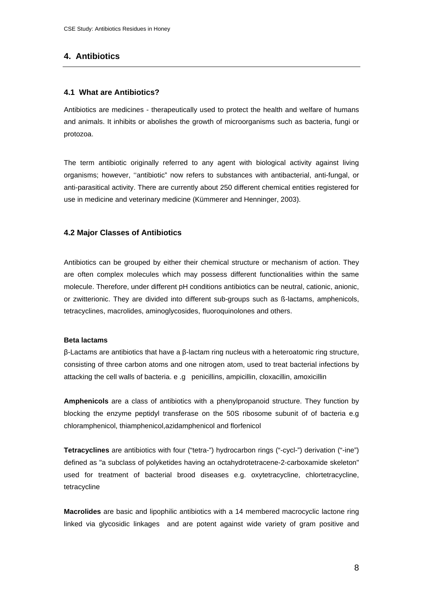# **4. Antibiotics**

### **4.1 What are Antibiotics?**

Antibiotics are medicines - therapeutically used to protect the health and welfare of humans and animals. It inhibits or abolishes the growth of microorganisms such as bacteria, fungi or protozoa.

The term antibiotic originally referred to any agent with biological activity against living organisms; however, ''antibiotic" now refers to substances with antibacterial, anti-fungal, or anti-parasitical activity. There are currently about 250 different chemical entities registered for use in medicine and veterinary medicine (Kümmerer and Henninger, 2003).

# **4.2 Major Classes of Antibiotics**

Antibiotics can be grouped by either their chemical structure or mechanism of action. They are often complex molecules which may possess different functionalities within the same molecule. Therefore, under different pH conditions antibiotics can be neutral, cationic, anionic, or zwitterionic. They are divided into different sub-groups such as ß-lactams, amphenicols, tetracyclines, macrolides, aminoglycosides, fluoroquinolones and others.

#### **Beta lactams**

 $\beta$ -Lactams are antibiotics that have a  $\beta$ -lactam ring nucleus with a heteroatomic ring structure, consisting of three carbon atoms and one nitrogen atom, used to treat bacterial infections by attacking the cell walls of bacteria. e .g penicillins, ampicillin, cloxacillin, amoxicillin

**Amphenicols** are a class of antibiotics with a phenylpropanoid structure. They function by blocking the enzyme peptidyl transferase on the 50S ribosome subunit of of bacteria e.g chloramphenicol, thiamphenicol,azidamphenicol and florfenicol

**Tetracyclines** are antibiotics with four ("tetra-") hydrocarbon rings ("-cycl-") derivation ("-ine") defined as "a subclass of polyketides having an octahydrotetracene-2-carboxamide skeleton" used for treatment of bacterial brood diseases e.g. oxytetracycline, chlortetracycline, tetracycline

**Macrolides** are basic and lipophilic antibiotics with a 14 membered macrocyclic lactone ring linked via glycosidic linkages and are potent against wide variety of gram positive and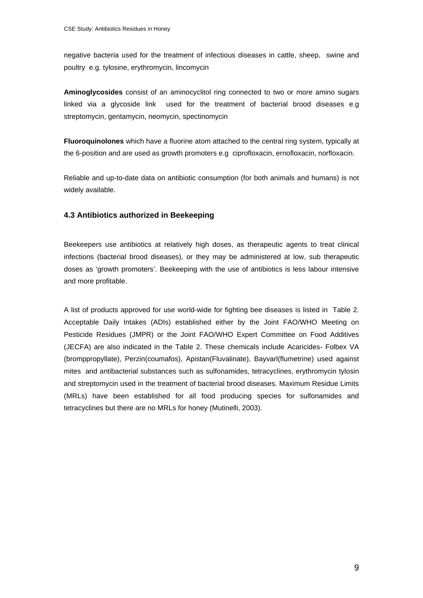negative bacteria used for the treatment of infectious diseases in cattle, sheep, swine and poultry e.g. tylosine, erythromycin, lincomycin

**Aminoglycosides** consist of an aminocyclitol ring connected to two or more amino sugars linked via a glycoside link used for the treatment of bacterial brood diseases e.g streptomycin, gentamycin, neomycin, spectinomycin

**Fluoroquinolones** which have a fluorine atom attached to the central ring system, typically at the 6-position and are used as growth promoters e.g ciprofloxacin, ernofloxacin, norfloxacin.

Reliable and up-to-date data on antibiotic consumption (for both animals and humans) is not widely available.

# **4.3 Antibiotics authorized in Beekeeping**

Beekeepers use antibiotics at relatively high doses, as therapeutic agents to treat clinical infections (bacterial brood diseases), or they may be administered at low, sub therapeutic doses as 'growth promoters'. Beekeeping with the use of antibiotics is less labour intensive and more profitable.

A list of products approved for use world-wide for fighting bee diseases is listed in Table 2. Acceptable Daily Intakes (ADIs) established either by the Joint FAO/WHO Meeting on Pesticide Residues (JMPR) or the Joint FAO/WHO Expert Committee on Food Additives (JECFA) are also indicated in the Table 2. These chemicals include Acaricides- Folbex VA (bromppropyllate), Perzin(coumafos), Apistan(Fluvalinate), Bayvarl(flumetrine) used against mites and antibacterial substances such as sulfonamides, tetracyclines, erythromycin tylosin and streptomycin used in the treatment of bacterial brood diseases. Maximum Residue Limits (MRLs) have been established for all food producing species for sulfonamides and tetracyclines but there are no MRLs for honey (Mutinelli, 2003).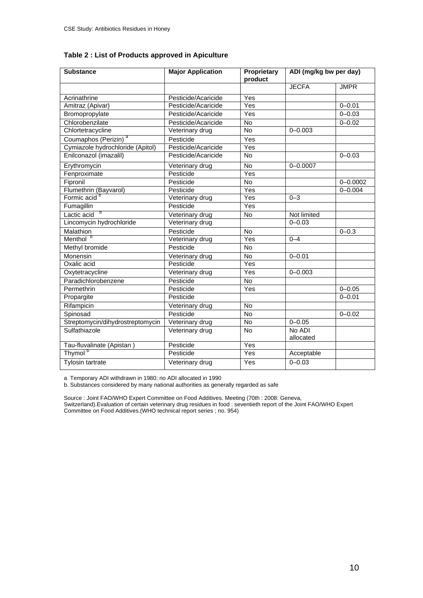| Table 2 : List of Products approved in Apiculture |  |  |  |
|---------------------------------------------------|--|--|--|
|---------------------------------------------------|--|--|--|

| <b>Substance</b>                 | <b>Major Application</b> | Proprietary<br>product | ADI (mg/kg bw per day) |              |
|----------------------------------|--------------------------|------------------------|------------------------|--------------|
|                                  |                          |                        | <b>JECFA</b>           | <b>JMPR</b>  |
| Acrinathrine                     | Pesticide/Acaricide      | Yes                    |                        |              |
| Amitraz (Apivar)                 | Pesticide/Acaricide      | Yes                    |                        | $0 - 0.01$   |
| Bromopropylate                   | Pesticide/Acaricide      | Yes                    |                        | $0 - 0.03$   |
| Chlorobenzilate                  | Pesticide/Acaricide      | No                     |                        | $0 - 0.02$   |
| Chlortetracycline                | Veterinary drug          | <b>No</b>              | $0 - 0.003$            |              |
| а<br>Coumaphos (Perizin)         | Pesticide                | Yes                    |                        |              |
| Cymiazole hydrochloride (Apitol) | Pesticide/Acaricide      | Yes                    |                        |              |
| Enilconazol (imazalil)           | Pesticide/Acaricide      | No                     |                        | $0 - 0.03$   |
| Erythromycin                     | Veterinary drug          | No                     | $0 - 0.0007$           |              |
| Fenproximate                     | Pesticide                | Yes                    |                        |              |
| Fipronil                         | Pesticide                | No                     |                        | $0 - 0.0002$ |
| Flumethrin (Bayvarol)            | Pesticide                | Yes                    |                        | $0 - 0.004$  |
| Formic acid <sup>b</sup>         | Veterinary drug          | $\overline{Yes}$       | $0 - 3$                |              |
| Fumagillin                       | Pesticide                | $\overline{Yes}$       |                        |              |
| b<br>Lactic acid                 | Veterinary drug          | No                     | Not limited            |              |
| Lincomycin hydrochloride         | Veterinary drug          |                        | $0 - 0.03$             |              |
| Malathion                        | Pesticide                | $\overline{N}$         |                        | $0 - 0.3$    |
| Menthol <sup>b</sup>             | Veterinary drug          | Yes                    | $0 - 4$                |              |
| Methyl bromide                   | Pesticide                | <b>No</b>              |                        |              |
| Monensin                         | Veterinary drug          | No                     | $0 - 0.01$             |              |
| Oxalic acid                      | Pesticide                | Yes                    |                        |              |
| Oxytetracycline                  | Veterinary drug          | Yes                    | $0 - 0.003$            |              |
| Paradichlorobenzene              | Pesticide                | $\overline{N}$         |                        |              |
| Permethrin                       | Pesticide                | Yes                    |                        | $0 - 0.05$   |
| Propargite                       | Pesticide                |                        |                        | $0 - 0.01$   |
| Rifampicin                       | Veterinary drug          | <b>No</b>              |                        |              |
| Spinosad                         | Pesticide                | $\overline{N}$         |                        | $0 - 0.02$   |
| Streptomycin/dihydrostreptomycin | Veterinary drug          | <b>No</b>              | $0 - 0.05$             |              |
| Sulfathiazole                    | Veterinary drug          | <b>No</b>              | No ADI<br>allocated    |              |
| Tau-fluvalinate (Apistan)        | Pesticide                | Yes                    |                        |              |
| Thymol <sup>b</sup>              | Pesticide                | Yes                    | Acceptable             |              |
| Tylosin tartrate                 | Veterinary drug          | Yes                    | $0 - 0.03$             |              |

a Temporary ADI withdrawn in 1980; no ADI allocated in 1990

b. Substances considered by many national authorities as generally regarded as safe

Source : Joint FAO/WHO Expert Committee on Food Additives. Meeting (70th : 2008: Geneva, Switzerland).Evaluation of certain veterinary drug residues in food : seventieth report of the Joint FAO/WHO Expert Committee on Food Additives.(WHO technical report series ; no. 954)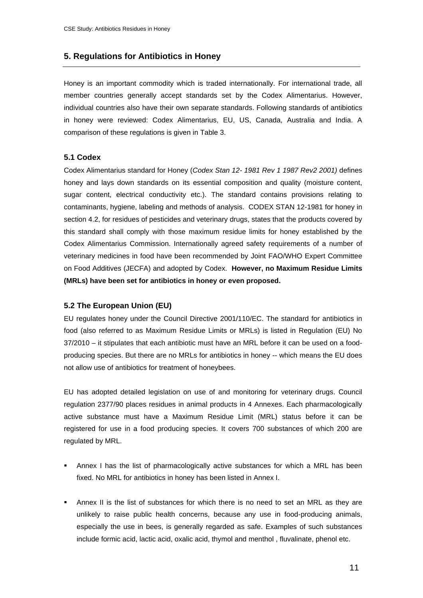# **5. Regulations for Antibiotics in Honey**

Honey is an important commodity which is traded internationally. For international trade, all member countries generally accept standards set by the Codex Alimentarius. However, individual countries also have their own separate standards. Following standards of antibiotics in honey were reviewed: Codex Alimentarius, EU, US, Canada, Australia and India. A comparison of these regulations is given in Table 3.

#### **5.1 Codex**

Codex Alimentarius standard for Honey (*Codex Stan 12- 1981 Rev 1 1987 Rev2 2001)* defines honey and lays down standards on its essential composition and quality (moisture content, sugar content, electrical conductivity etc.). The standard contains provisions relating to contaminants, hygiene, labeling and methods of analysis. CODEX STAN 12-1981 for honey in section 4.2, for residues of pesticides and veterinary drugs, states that the products covered by this standard shall comply with those maximum residue limits for honey established by the Codex Alimentarius Commission. Internationally agreed safety requirements of a number of veterinary medicines in food have been recommended by Joint FAO/WHO Expert Committee on Food Additives (JECFA) and adopted by Codex. **However, no Maximum Residue Limits (MRLs) have been set for antibiotics in honey or even proposed.**

#### **5.2 The European Union (EU)**

EU regulates honey under the Council Directive 2001/110/EC. The standard for antibiotics in food (also referred to as Maximum Residue Limits or MRLs) is listed in Regulation (EU) No 37/2010 – it stipulates that each antibiotic must have an MRL before it can be used on a foodproducing species. But there are no MRLs for antibiotics in honey -- which means the EU does not allow use of antibiotics for treatment of honeybees.

EU has adopted detailed legislation on use of and monitoring for veterinary drugs. Council regulation 2377/90 places residues in animal products in 4 Annexes. Each pharmacologically active substance must have a Maximum Residue Limit (MRL) status before it can be registered for use in a food producing species. It covers 700 substances of which 200 are regulated by MRL.

- Annex I has the list of pharmacologically active substances for which a MRL has been fixed. No MRL for antibiotics in honey has been listed in Annex I.
- Annex II is the list of substances for which there is no need to set an MRL as they are unlikely to raise public health concerns, because any use in food-producing animals, especially the use in bees, is generally regarded as safe. Examples of such substances include formic acid, lactic acid, oxalic acid, thymol and menthol , fluvalinate, phenol etc.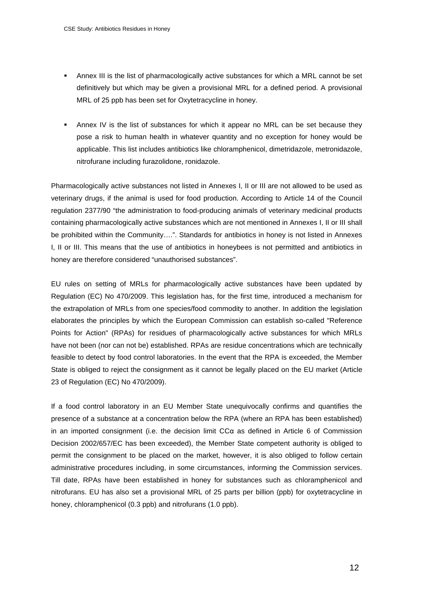- Annex III is the list of pharmacologically active substances for which a MRL cannot be set definitively but which may be given a provisional MRL for a defined period. A provisional MRL of 25 ppb has been set for Oxytetracycline in honey.
- Annex IV is the list of substances for which it appear no MRL can be set because they pose a risk to human health in whatever quantity and no exception for honey would be applicable. This list includes antibiotics like chloramphenicol, dimetridazole, metronidazole, nitrofurane including furazolidone, ronidazole.

Pharmacologically active substances not listed in Annexes I, II or III are not allowed to be used as veterinary drugs, if the animal is used for food production. According to Article 14 of the Council regulation 2377/90 "the administration to food-producing animals of veterinary medicinal products containing pharmacologically active substances which are not mentioned in Annexes I, II or III shall be prohibited within the Community….". Standards for antibiotics in honey is not listed in Annexes I, II or III. This means that the use of antibiotics in honeybees is not permitted and antibiotics in honey are therefore considered "unauthorised substances".

EU rules on setting of MRLs for pharmacologically active substances have been updated by Regulation (EC) No 470/2009. This legislation has, for the first time, introduced a mechanism for the extrapolation of MRLs from one species/food commodity to another. In addition the legislation elaborates the principles by which the European Commission can establish so-called "Reference Points for Action" (RPAs) for residues of pharmacologically active substances for which MRLs have not been (nor can not be) established. RPAs are residue concentrations which are technically feasible to detect by food control laboratories. In the event that the RPA is exceeded, the Member State is obliged to reject the consignment as it cannot be legally placed on the EU market (Article 23 of Regulation (EC) No 470/2009).

If a food control laboratory in an EU Member State unequivocally confirms and quantifies the presence of a substance at a concentration below the RPA (where an RPA has been established) in an imported consignment (i.e. the decision limit  $CC\alpha$  as defined in Article 6 of Commission Decision 2002/657/EC has been exceeded), the Member State competent authority is obliged to permit the consignment to be placed on the market, however, it is also obliged to follow certain administrative procedures including, in some circumstances, informing the Commission services. Till date, RPAs have been established in honey for substances such as chloramphenicol and nitrofurans. EU has also set a provisional MRL of 25 parts per billion (ppb) for oxytetracycline in honey, chloramphenicol (0.3 ppb) and nitrofurans (1.0 ppb).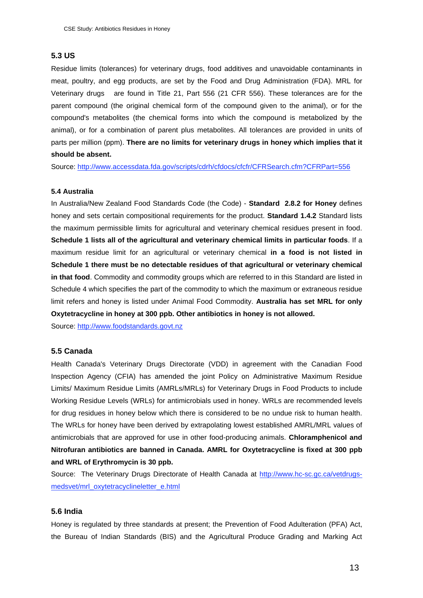#### **5.3 US**

Residue limits (tolerances) for veterinary drugs, food additives and unavoidable contaminants in meat, poultry, and egg products, are set by the Food and Drug Administration (FDA). MRL for Veterinary drugs are found in Title 21, Part 556 (21 CFR 556). These tolerances are for the parent compound (the original chemical form of the compound given to the animal), or for the compound's metabolites (the chemical forms into which the compound is metabolized by the animal), or for a combination of parent plus metabolites. All tolerances are provided in units of parts per million (ppm). **There are no limits for veterinary drugs in honey which implies that it should be absent.** 

Source: http://www.accessdata.fda.gov/scripts/cdrh/cfdocs/cfcfr/CFRSearch.cfm?CFRPart=556

#### **5.4 Australia**

In Australia/New Zealand Food Standards Code (the Code) - **Standard 2.8.2 for Honey** defines honey and sets certain compositional requirements for the product. **Standard 1.4.2** Standard lists the maximum permissible limits for agricultural and veterinary chemical residues present in food. **Schedule 1 lists all of the agricultural and veterinary chemical limits in particular foods**. If a maximum residue limit for an agricultural or veterinary chemical **in a food is not listed in Schedule 1 there must be no detectable residues of that agricultural or veterinary chemical in that food**. Commodity and commodity groups which are referred to in this Standard are listed in Schedule 4 which specifies the part of the commodity to which the maximum or extraneous residue limit refers and honey is listed under Animal Food Commodity. **Australia has set MRL for only Oxytetracycline in honey at 300 ppb. Other antibiotics in honey is not allowed.**

Source: http://www.foodstandards.govt.nz

#### **5.5 Canada**

Health Canada's Veterinary Drugs Directorate (VDD) in agreement with the Canadian Food Inspection Agency (CFIA) has amended the joint Policy on Administrative Maximum Residue Limits/ Maximum Residue Limits (AMRLs/MRLs) for Veterinary Drugs in Food Products to include Working Residue Levels (WRLs) for antimicrobials used in honey. WRLs are recommended levels for drug residues in honey below which there is considered to be no undue risk to human health. The WRLs for honey have been derived by extrapolating lowest established AMRL/MRL values of antimicrobials that are approved for use in other food-producing animals. **Chloramphenicol and Nitrofuran antibiotics are banned in Canada. AMRL for Oxytetracycline is fixed at 300 ppb and WRL of Erythromycin is 30 ppb.**

Source: The Veterinary Drugs Directorate of Health Canada at http://www.hc-sc.gc.ca/vetdrugsmedsvet/mrl\_oxytetracyclineletter\_e.html

#### **5.6 India**

Honey is regulated by three standards at present; the Prevention of Food Adulteration (PFA) Act, the Bureau of Indian Standards (BIS) and the Agricultural Produce Grading and Marking Act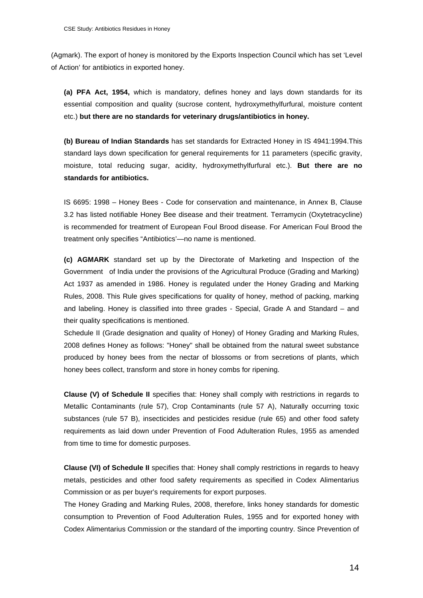(Agmark). The export of honey is monitored by the Exports Inspection Council which has set 'Level of Action' for antibiotics in exported honey.

**(a) PFA Act, 1954,** which is mandatory, defines honey and lays down standards for its essential composition and quality (sucrose content, hydroxymethylfurfural, moisture content etc.) **but there are no standards for veterinary drugs/antibiotics in honey.** 

**(b) Bureau of Indian Standards** has set standards for Extracted Honey in IS 4941:1994.This standard lays down specification for general requirements for 11 parameters (specific gravity, moisture, total reducing sugar, acidity, hydroxymethylfurfural etc.). **But there are no standards for antibiotics.** 

IS 6695: 1998 – Honey Bees - Code for conservation and maintenance, in Annex B, Clause 3.2 has listed notifiable Honey Bee disease and their treatment. Terramycin (Oxytetracycline) is recommended for treatment of European Foul Brood disease. For American Foul Brood the treatment only specifies "Antibiotics'—no name is mentioned.

**(c) AGMARK** standard set up by the Directorate of Marketing and Inspection of the Government of India under the provisions of the Agricultural Produce (Grading and Marking) Act 1937 as amended in 1986. Honey is regulated under the Honey Grading and Marking Rules, 2008. This Rule gives specifications for quality of honey, method of packing, marking and labeling. Honey is classified into three grades - Special, Grade A and Standard – and their quality specifications is mentioned.

Schedule II (Grade designation and quality of Honey) of Honey Grading and Marking Rules, 2008 defines Honey as follows: "Honey" shall be obtained from the natural sweet substance produced by honey bees from the nectar of blossoms or from secretions of plants, which honey bees collect, transform and store in honey combs for ripening.

**Clause (V) of Schedule II** specifies that: Honey shall comply with restrictions in regards to Metallic Contaminants (rule 57), Crop Contaminants (rule 57 A), Naturally occurring toxic substances (rule 57 B), insecticides and pesticides residue (rule 65) and other food safety requirements as laid down under Prevention of Food Adulteration Rules, 1955 as amended from time to time for domestic purposes.

**Clause (VI) of Schedule II** specifies that: Honey shall comply restrictions in regards to heavy metals, pesticides and other food safety requirements as specified in Codex Alimentarius Commission or as per buyer's requirements for export purposes.

The Honey Grading and Marking Rules, 2008, therefore, links honey standards for domestic consumption to Prevention of Food Adulteration Rules, 1955 and for exported honey with Codex Alimentarius Commission or the standard of the importing country. Since Prevention of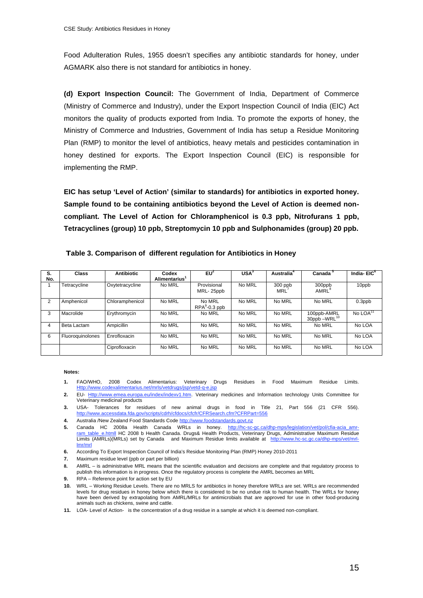Food Adulteration Rules, 1955 doesn't specifies any antibiotic standards for honey, under AGMARK also there is not standard for antibiotics in honey.

**(d) Export Inspection Council:** The Government of India, Department of Commerce (Ministry of Commerce and Industry), under the Export Inspection Council of India (EIC) Act monitors the quality of products exported from India. To promote the exports of honey, the Ministry of Commerce and Industries, Government of India has setup a Residue Monitoring Plan (RMP) to monitor the level of antibiotics, heavy metals and pesticides contamination in honey destined for exports. The Export Inspection Council (EIC) is responsible for implementing the RMP.

**EIC has setup 'Level of Action' (similar to standards) for antibiotics in exported honey. Sample found to be containing antibiotics beyond the Level of Action is deemed noncompliant. The Level of Action for Chloramphenicol is 0.3 ppb, Nitrofurans 1 ppb, Tetracyclines (group) 10 ppb, Streptomycin 10 ppb and Sulphonamides (group) 20 ppb.** 

| S.<br>No. | Class            | <b>Antibiotic</b> | Codex<br>Alimentarius' | $EU^2$                    | USA <sup>3</sup> | Australia <sup>4</sup>  | Canada <sup>5</sup>                 | India-EIC <sup>6</sup> |
|-----------|------------------|-------------------|------------------------|---------------------------|------------------|-------------------------|-------------------------------------|------------------------|
|           | Tetracycline     | Oxytetracycline   | No MRL                 | Provisional<br>MRL-25ppb  | No MRL           | $300$ ppb<br><b>MRL</b> | 300ppb<br>AMRL <sup>8</sup>         | 10ppb                  |
| 2         | Amphenicol       | Chloramphenicol   | No MRL                 | No MRL<br>$RPA9$ -0.3 ppb | No MRL           | No MRL                  | No MRL                              | $0.3$ ppb              |
| 3         | Macrolide        | Erythromycin      | No MRL                 | No MRL                    | No MRL           | No MRL                  | 100ppb-AMRL<br>$30$ ppb $-WRL^{10}$ | No LOA <sup>11</sup>   |
| 4         | Beta Lactam      | Ampicillin        | No MRL                 | No MRL                    | No MRL           | No MRL                  | No MRL                              | No LOA                 |
| 6         | Fluoroquinolones | Enrofloxacin      | No MRL                 | No MRL                    | No MRL           | No MRL                  | No MRL                              | No LOA                 |
|           |                  | Ciprofloxacin     | No MRL                 | No MRL                    | No MRL           | No MRL                  | No MRL                              | No LOA                 |

**Table 3. Comparison of different regulation for Antibiotics in Honey**

#### **Notes:**

- **1.** FAO/WHO, 2008 Codex Alimentarius: Veterinary Drugs Residues in Food Maximum Residue Limits. Http://www.codexalimentarius.net/mrls/vetdrugs/jsp/vetd-q-e.jsp
- **2.** EU- Http://www.emea.europa.eu/index/indexv1.htm. Veterinary medicines and Information technology Units Committee for Veterinary medicinal products
- **3.** USA- Tolerances for residues of new animal drugs in food in Title 21, Part 556 (21 CFR 556). http://www.accessdata.fda.gov/scripts/cdrh/cfdocs/cfcfr/CFRSearch.cfm?CFRPart=556
- **4.** Australia /New Zealand Food Standards Code http://www.foodstandards.govt.nz
- 5. Canada HC 2008a Health Canada WRLs in honey. http://hc-sc-gc.ca/dhp-mps/legislation/vet/pol/cfia-acia\_amrram\_table\_e.htmll HC 2008 b Health Canada. Drugs& Health Products, Veterinary Drugs, Administrative Maximum Residue Limits (AMRLs)(MRLs) set by Canada and Maximum Residue limits available at http://www.hc-sc.gc.ca/dhp-mps/vet/mrllmr/mrl
- **6.** According To Export Inspection Council of India's Residue Monitoring Plan (RMP) Honey 2010-2011
- **7.** Maximum residue level (ppb or part per billion)
- **8.** AMRL is administrative MRL means that the scientific evaluation and decisions are complete and that regulatory process to publish this information is in progress. Once the regulatory process is complete the AMRL becomes an MRL
- **9.** RPA Reference point for action set by EU
- **10.** WRL Working Residue Levels. There are no MRLS for antibiotics in honey therefore WRLs are set. WRLs are recommended levels for drug residues in honey below which there is considered to be no undue risk to human health. The WRLs for honey have been derived by extrapolating from AMRL/MRLs for antimicrobials that are approved for use in other food-producing animals such as chickens, swine and cattle.
- **11.** LOA- Level of Action- is the concentration of a drug residue in a sample at which it is deemed non-compliant.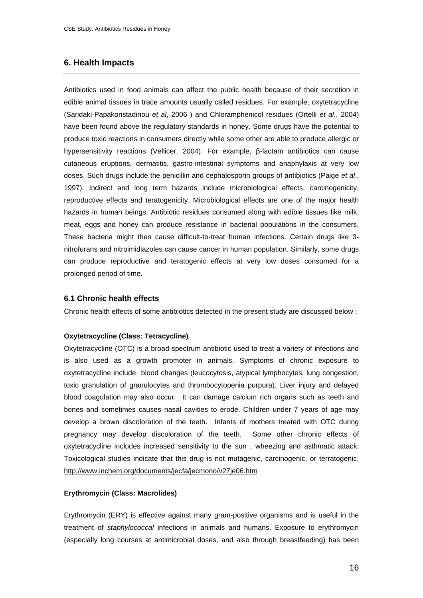### **6. Health Impacts**

Antibiotics used in food animals can affect the public health because of their secretion in edible animal tissues in trace amounts usually called residues. For example, oxytetracycline (Saridaki-Papakonstadinou *et al*, 2006 ) and Chloramphenicol residues (Ortelli *et al*., 2004) have been found above the regulatory standards in honey. Some drugs have the potential to produce toxic reactions in consumers directly while some other are able to produce allergic or hypersensitivity reactions (Vellicer, 2004). For example,  $\beta$ -lactam antibiotics can cause cutaneous eruptions, dermatitis, gastro-intestinal symptoms and anaphylaxis at very low doses. Such drugs include the penicillin and cephalosporin groups of antibiotics (Paige *et al*., 1997). Indirect and long term hazards include microbiological effects, carcinogenicity, reproductive effects and teratogenicity. Microbiological effects are one of the major health hazards in human beings. Antibiotic residues consumed along with edible tissues like milk, meat, eggs and honey can produce resistance in bacterial populations in the consumers. These bacteria might then cause difficult-to-treat human infections. Certain drugs like 3 nitrofurans and nitroimidiazoles can cause cancer in human population. Similarly, some drugs can produce reproductive and teratogenic effects at very low doses consumed for a prolonged period of time.

#### **6.1 Chronic health effects**

Chronic health effects of some antibiotics detected in the present study are discussed below :

#### **Oxytetracycline (Class: Tetracycline)**

Oxytetracycline (OTC) is a broad-spectrum antibiotic used to treat a variety of infections and is also used as a growth promoter in animals. Symptoms of chronic exposure to oxytetracycline include blood changes (leucocytosis, atypical lymphocytes, lung congestion, toxic granulation of granulocytes and thrombocytopenia purpura). Liver injury and delayed blood coagulation may also occur. It can damage calcium rich organs such as teeth and bones and sometimes causes nasal cavities to erode. Children under 7 years of age may develop a brown discoloration of the teeth. Infants of mothers treated with OTC during pregnancy may develop discoloration of the teeth. Some other chronic effects of oxytetracycline includes increased sensitivity to the sun , wheezing and asthmatic attack. Toxicological studies indicate that this drug is not mutagenic, carcinogenic, or terratogenic. http://www.inchem.org/documents/jecfa/jecmono/v27je06.htm

#### **Erythromycin (Class: Macrolides)**

Erythromycin (ERY) is effective against many gram-positive organisms and is useful in the treatment of *staphylococcal* infections in animals and humans. Exposure to erythromycin (especially long courses at antimicrobial doses, and also through breastfeeding) has been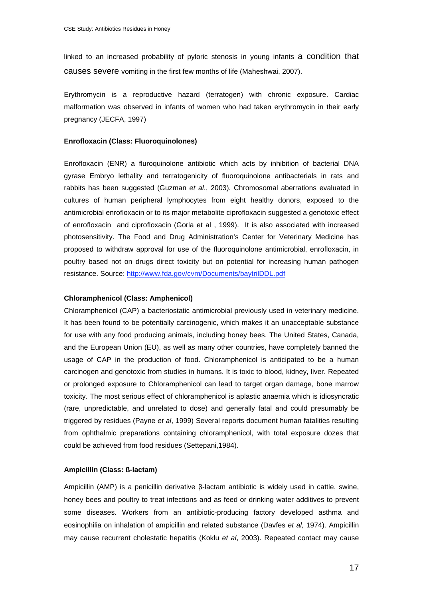linked to an increased probability of pyloric stenosis in young infants a condition that causes severe vomiting in the first few months of life (Maheshwai, 2007).

Erythromycin is a reproductive hazard (terratogen) with chronic exposure. Cardiac malformation was observed in infants of women who had taken erythromycin in their early pregnancy (JECFA, 1997)

#### **Enrofloxacin (Class: Fluoroquinolones)**

Enrofloxacin (ENR) a fluroquinolone antibiotic which acts by inhibition of bacterial DNA gyrase Embryo lethality and terratogenicity of fluoroquinolone antibacterials in rats and rabbits has been suggested (Guzman *et al*., 2003). Chromosomal aberrations evaluated in cultures of human peripheral lymphocytes from eight healthy donors, exposed to the antimicrobial enrofloxacin or to its major metabolite ciprofloxacin suggested a genotoxic effect of enrofloxacin and ciprofloxacin (Gorla et al , 1999). It is also associated with increased photosensitivity. The Food and Drug Administration's Center for Veterinary Medicine has proposed to withdraw approval for use of the fluoroquinolone antimicrobial, enrofloxacin, in poultry based not on drugs direct toxicity but on potential for increasing human pathogen resistance. Source: http://www.fda.gov/cvm/Documents/baytrilDDL.pdf

#### **Chloramphenicol (Class: Amphenicol)**

Chloramphenicol (CAP) a bacteriostatic antimicrobial previously used in veterinary medicine. It has been found to be potentially carcinogenic, which makes it an unacceptable substance for use with any food producing animals, including honey bees. The United States, Canada, and the European Union (EU), as well as many other countries, have completely banned the usage of CAP in the production of food. Chloramphenicol is anticipated to be a human carcinogen and genotoxic from studies in humans. It is toxic to blood, kidney, liver. Repeated or prolonged exposure to Chloramphenicol can lead to target organ damage, bone marrow toxicity. The most serious effect of chloramphenicol is aplastic anaemia which is idiosyncratic (rare, unpredictable, and unrelated to dose) and generally fatal and could presumably be triggered by residues (Payne *et al*, 1999) Several reports document human fatalities resulting from ophthalmic preparations containing chloramphenicol, with total exposure dozes that could be achieved from food residues (Settepani,1984).

#### **Ampicillin (Class: ß-lactam)**

Ampicillin (AMP) is a penicillin derivative  $\beta$ -lactam antibiotic is widely used in cattle, swine, honey bees and poultry to treat infections and as feed or drinking water additives to prevent some diseases. Workers from an antibiotic-producing factory developed asthma and eosinophilia on inhalation of ampicillin and related substance (Davfes *et al,* 1974). Ampicillin may cause recurrent cholestatic hepatitis (Koklu *et al*, 2003). Repeated contact may cause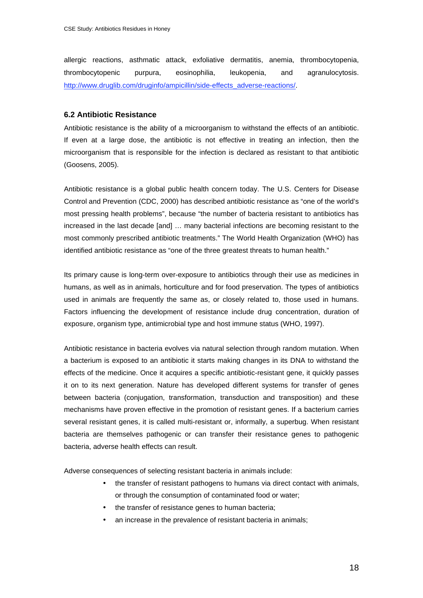allergic reactions, asthmatic attack, exfoliative dermatitis, anemia, thrombocytopenia, thrombocytopenic purpura, eosinophilia, leukopenia, and agranulocytosis. http://www.druglib.com/druginfo/ampicillin/side-effects\_adverse-reactions/

#### **6.2 Antibiotic Resistance**

Antibiotic resistance is the ability of a microorganism to withstand the effects of an antibiotic. If even at a large dose, the antibiotic is not effective in treating an infection, then the microorganism that is responsible for the infection is declared as resistant to that antibiotic (Goosens, 2005).

Antibiotic resistance is a global public health concern today. The U.S. Centers for Disease Control and Prevention (CDC, 2000) has described antibiotic resistance as "one of the world's most pressing health problems", because "the number of bacteria resistant to antibiotics has increased in the last decade [and] … many bacterial infections are becoming resistant to the most commonly prescribed antibiotic treatments." The World Health Organization (WHO) has identified antibiotic resistance as "one of the three greatest threats to human health."

Its primary cause is long-term over-exposure to antibiotics through their use as medicines in humans, as well as in animals, horticulture and for food preservation. The types of antibiotics used in animals are frequently the same as, or closely related to, those used in humans. Factors influencing the development of resistance include drug concentration, duration of exposure, organism type, antimicrobial type and host immune status (WHO, 1997).

Antibiotic resistance in bacteria evolves via natural selection through random mutation. When a bacterium is exposed to an antibiotic it starts making changes in its DNA to withstand the effects of the medicine. Once it acquires a specific antibiotic-resistant gene, it quickly passes it on to its next generation. Nature has developed different systems for transfer of genes between bacteria (conjugation, transformation, transduction and transposition) and these mechanisms have proven effective in the promotion of resistant genes. If a bacterium carries several resistant genes, it is called multi-resistant or, informally, a superbug. When resistant bacteria are themselves pathogenic or can transfer their resistance genes to pathogenic bacteria, adverse health effects can result.

Adverse consequences of selecting resistant bacteria in animals include:

- the transfer of resistant pathogens to humans via direct contact with animals, or through the consumption of contaminated food or water;
- the transfer of resistance genes to human bacteria;
- an increase in the prevalence of resistant bacteria in animals;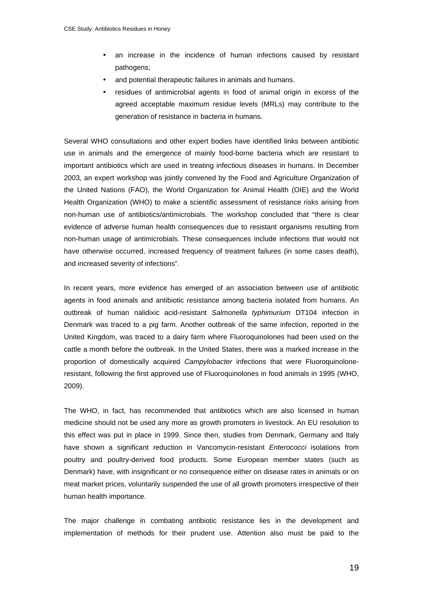- an increase in the incidence of human infections caused by resistant pathogens;
- and potential therapeutic failures in animals and humans.
- residues of antimicrobial agents in food of animal origin in excess of the agreed acceptable maximum residue levels (MRLs) may contribute to the generation of resistance in bacteria in humans.

Several WHO consultations and other expert bodies have identified links between antibiotic use in animals and the emergence of mainly food-borne bacteria which are resistant to important antibiotics which are used in treating infectious diseases in humans. In December 2003, an expert workshop was jointly convened by the Food and Agriculture Organization of the United Nations (FAO), the World Organization for Animal Health (OIE) and the World Health Organization (WHO) to make a scientific assessment of resistance risks arising from non-human use of antibiotics/antimicrobials. The workshop concluded that "there is clear evidence of adverse human health consequences due to resistant organisms resulting from non-human usage of antimicrobials. These consequences include infections that would not have otherwise occurred, increased frequency of treatment failures (in some cases death), and increased severity of infections".

In recent years, more evidence has emerged of an association between use of antibiotic agents in food animals and antibiotic resistance among bacteria isolated from humans. An outbreak of human nalidixic acid-resistant *Salmonella typhimurium* DT104 infection in Denmark was traced to a pig farm. Another outbreak of the same infection, reported in the United Kingdom, was traced to a dairy farm where Fluoroquinolones had been used on the cattle a month before the outbreak. In the United States, there was a marked increase in the proportion of domestically acquired *Campylobacter* infections that were Fluoroquinoloneresistant, following the first approved use of Fluoroquinolones in food animals in 1995 (WHO, 2009).

The WHO, in fact, has recommended that antibiotics which are also licensed in human medicine should not be used any more as growth promoters in livestock. An EU resolution to this effect was put in place in 1999. Since then, studies from Denmark, Germany and Italy have shown a significant reduction in Vancomycin-resistant *Enterococci* isolations from poultry and poultry-derived food products. Some European member states (such as Denmark) have, with insignificant or no consequence either on disease rates in animals or on meat market prices, voluntarily suspended the use of all growth promoters irrespective of their human health importance.

The major challenge in combating antibiotic resistance lies in the development and implementation of methods for their prudent use. Attention also must be paid to the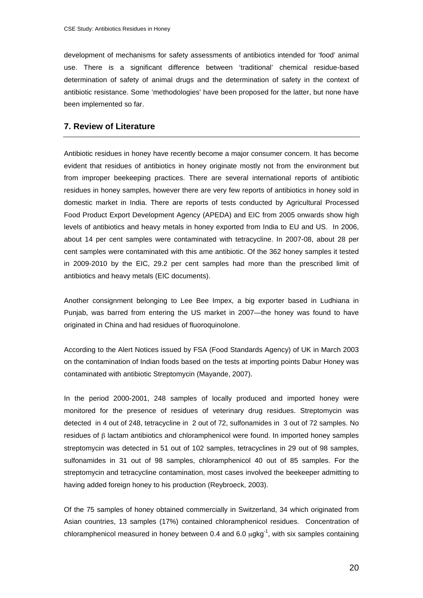development of mechanisms for safety assessments of antibiotics intended for 'food' animal use. There is a significant difference between 'traditional' chemical residue-based determination of safety of animal drugs and the determination of safety in the context of antibiotic resistance. Some 'methodologies' have been proposed for the latter, but none have been implemented so far.

#### **7. Review of Literature**

Antibiotic residues in honey have recently become a major consumer concern. It has become evident that residues of antibiotics in honey originate mostly not from the environment but from improper beekeeping practices. There are several international reports of antibiotic residues in honey samples, however there are very few reports of antibiotics in honey sold in domestic market in India. There are reports of tests conducted by Agricultural Processed Food Product Export Development Agency (APEDA) and EIC from 2005 onwards show high levels of antibiotics and heavy metals in honey exported from India to EU and US. In 2006, about 14 per cent samples were contaminated with tetracycline. In 2007-08, about 28 per cent samples were contaminated with this ame antibiotic. Of the 362 honey samples it tested in 2009-2010 by the EIC, 29.2 per cent samples had more than the prescribed limit of antibiotics and heavy metals (EIC documents).

Another consignment belonging to Lee Bee Impex, a big exporter based in Ludhiana in Punjab, was barred from entering the US market in 2007—the honey was found to have originated in China and had residues of fluoroquinolone.

According to the Alert Notices issued by FSA (Food Standards Agency) of UK in March 2003 on the contamination of Indian foods based on the tests at importing points Dabur Honey was contaminated with antibiotic Streptomycin (Mayande, 2007).

In the period 2000-2001, 248 samples of locally produced and imported honey were monitored for the presence of residues of veterinary drug residues. Streptomycin was detected in 4 out of 248, tetracycline in 2 out of 72, sulfonamides in 3 out of 72 samples. No residues of  $\beta$  lactam antibiotics and chloramphenicol were found. In imported honey samples streptomycin was detected in 51 out of 102 samples, tetracyclines in 29 out of 98 samples, sulfonamides in 31 out of 98 samples, chloramphenicol 40 out of 85 samples. For the streptomycin and tetracycline contamination, most cases involved the beekeeper admitting to having added foreign honey to his production (Reybroeck, 2003).

Of the 75 samples of honey obtained commercially in Switzerland, 34 which originated from Asian countries, 13 samples (17%) contained chloramphenicol residues. Concentration of chloramphenicol measured in honey between 0.4 and 6.0  $\mu$ gkg<sup>-1</sup>, with six samples containing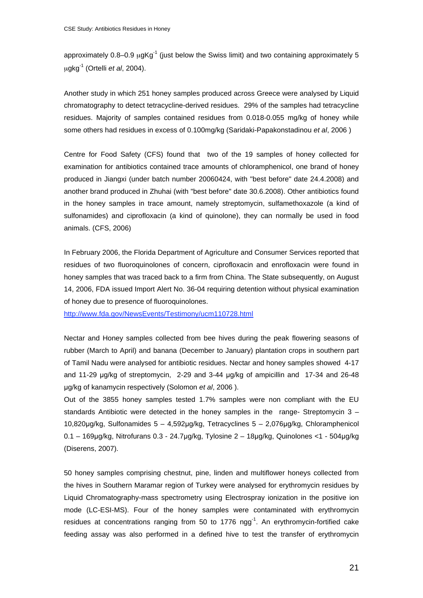approximately  $0.8-0.9$   $\mu$ gKg<sup>-1</sup> (just below the Swiss limit) and two containing approximately 5 μgkg-1 (Ortelli *et al*, 2004).

Another study in which 251 honey samples produced across Greece were analysed by Liquid chromatography to detect tetracycline-derived residues. 29% of the samples had tetracycline residues. Majority of samples contained residues from 0.018-0.055 mg/kg of honey while some others had residues in excess of 0.100mg/kg (Saridaki-Papakonstadinou *et al*, 2006 )

Centre for Food Safety (CFS) found that two of the 19 samples of honey collected for examination for antibiotics contained trace amounts of chloramphenicol, one brand of honey produced in Jiangxi (under batch number 20060424, with "best before" date 24.4.2008) and another brand produced in Zhuhai (with "best before" date 30.6.2008). Other antibiotics found in the honey samples in trace amount, namely streptomycin, sulfamethoxazole (a kind of sulfonamides) and ciprofloxacin (a kind of quinolone), they can normally be used in food animals. (CFS, 2006)

In February 2006, the Florida Department of Agriculture and Consumer Services reported that residues of two fluoroquinolones of concern, ciprofloxacin and enrofloxacin were found in honey samples that was traced back to a firm from China. The State subsequently, on August 14, 2006, FDA issued Import Alert No. 36-04 requiring detention without physical examination of honey due to presence of fluoroquinolones.

http://www.fda.gov/NewsEvents/Testimony/ucm110728.html

Nectar and Honey samples collected from bee hives during the peak flowering seasons of rubber (March to April) and banana (December to January) plantation crops in southern part of Tamil Nadu were analysed for antibiotic residues. Nectar and honey samples showed 4-17 and 11-29  $\mu$ g/kg of streptomycin, 2-29 and 3-44  $\mu$ g/kg of ampicillin and 17-34 and 26-48 g/kg of kanamycin respectively (Solomon *et al*, 2006 ).

Out of the 3855 honey samples tested 1.7% samples were non compliant with the EU standards Antibiotic were detected in the honey samples in the range- Streptomycin 3 – 10,820μg/kg, Sulfonamides 5 – 4,592μg/kg, Tetracyclines 5 – 2,076μg/kg, Chloramphenicol 0.1 – 169μg/kg, Nitrofurans 0.3 - 24.7μg/kg, Tylosine 2 – 18μg/kg, Quinolones <1 - 504μg/kg (Diserens, 2007).

50 honey samples comprising chestnut, pine, linden and multiflower honeys collected from the hives in Southern Maramar region of Turkey were analysed for erythromycin residues by Liquid Chromatography-mass spectrometry using Electrospray ionization in the positive ion mode (LC-ESI-MS). Four of the honey samples were contaminated with erythromycin residues at concentrations ranging from 50 to 1776 ngg<sup>-1</sup>. An erythromycin-fortified cake feeding assay was also performed in a defined hive to test the transfer of erythromycin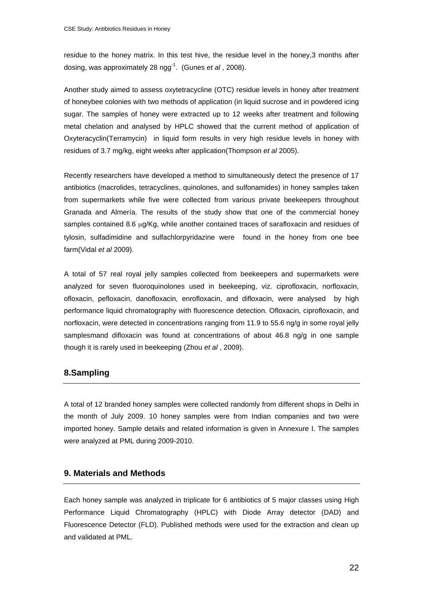residue to the honey matrix. In this test hive, the residue level in the honey,3 months after dosing, was approximately 28 ngg-1. (Gunes *et al* , 2008).

Another study aimed to assess oxytetracycline (OTC) residue levels in honey after treatment of honeybee colonies with two methods of application (in liquid sucrose and in powdered icing sugar. The samples of honey were extracted up to 12 weeks after treatment and following metal chelation and analysed by HPLC showed that the current method of application of Oxyteracyclin(Terramycin) in liquid form results in very high residue levels in honey with residues of 3.7 mg/kg, eight weeks after application(Thompson *et al* 2005).

Recently researchers have developed a method to simultaneously detect the presence of 17 antibiotics (macrolides, tetracyclines, quinolones, and sulfonamides) in honey samples taken from supermarkets while five were collected from various private beekeepers throughout Granada and Almería. The results of the study show that one of the commercial honey samples contained 8.6 μg/Kg, while another contained traces of sarafloxacin and residues of tylosin, sulfadimidine and sulfachlorpyridazine were found in the honey from one bee farm(Vidal *et al* 2009).

A total of 57 real royal jelly samples collected from beekeepers and supermarkets were analyzed for seven fluoroquinolones used in beekeeping, viz. ciprofloxacin, norfloxacin, ofloxacin, pefloxacin, danofloxacin, enrofloxacin, and difloxacin, were analysed by high performance liquid chromatography with fluorescence detection. Ofloxacin, ciprofloxacin, and norfloxacin, were detected in concentrations ranging from 11.9 to 55.6 ng/g in some royal jelly samplesmand difloxacin was found at concentrations of about 46.8 ng/g in one sample though it is rarely used in beekeeping (Zhou *et al* , 2009).

# **8.Sampling**

A total of 12 branded honey samples were collected randomly from different shops in Delhi in the month of July 2009. 10 honey samples were from Indian companies and two were imported honey. Sample details and related information is given in Annexure I. The samples were analyzed at PML during 2009-2010.

# **9. Materials and Methods**

Each honey sample was analyzed in triplicate for 6 antibiotics of 5 major classes using High Performance Liquid Chromatography (HPLC) with Diode Array detector (DAD) and Fluorescence Detector (FLD). Published methods were used for the extraction and clean up and validated at PML.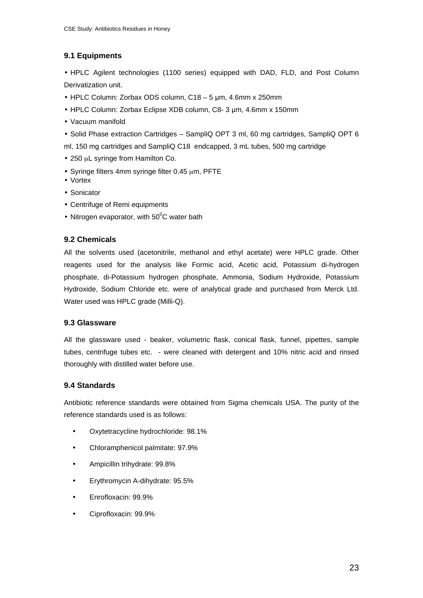# **9.1 Equipments**

• HPLC Agilent technologies (1100 series) equipped with DAD, FLD, and Post Column Derivatization unit.

- $\cdot$  HPLC Column: Zorbax ODS column, C18 5 µm, 4.6mm x 250mm
- HPLC Column: Zorbax Eclipse XDB column, C8- 3 um, 4.6mm x 150mm
- Vacuum manifold
- Solid Phase extraction Cartridges SampliQ OPT 3 ml, 60 mg cartridges, SampliQ OPT 6
- ml, 150 mg cartridges and SampliQ C18 endcapped, 3 mL tubes, 500 mg cartridge
- 250 μL syringe from Hamilton Co.
- Syringe filters 4mm syringe filter 0.45 μm, PFTE
- Vortex
- Sonicator
- Centrifuge of Remi equipments
- Nitrogen evaporator, with 50 $\mathrm{^0C}$  water bath

# **9.2 Chemicals**

All the solvents used (acetonitrile, methanol and ethyl acetate) were HPLC grade. Other reagents used for the analysis like Formic acid, Acetic acid, Potassium di-hydrogen phosphate, di-Potassium hydrogen phosphate, Ammonia, Sodium Hydroxide, Potassium Hydroxide, Sodium Chloride etc. were of analytical grade and purchased from Merck Ltd. Water used was HPLC grade (Milli-Q).

# **9.3 Glassware**

All the glassware used - beaker, volumetric flask, conical flask, funnel, pipettes, sample tubes, centrifuge tubes etc. - were cleaned with detergent and 10% nitric acid and rinsed thoroughly with distilled water before use.

# **9.4 Standards**

Antibiotic reference standards were obtained from Sigma chemicals USA. The purity of the reference standards used is as follows:

- Oxytetracycline hydrochloride: 98.1%
- Chloramphenicol palmitate: 97.9%
- Ampicillin trihydrate: 99.8%
- Erythromycin A-dihydrate: 95.5%
- Enrofloxacin: 99.9%
- Ciprofloxacin: 99.9%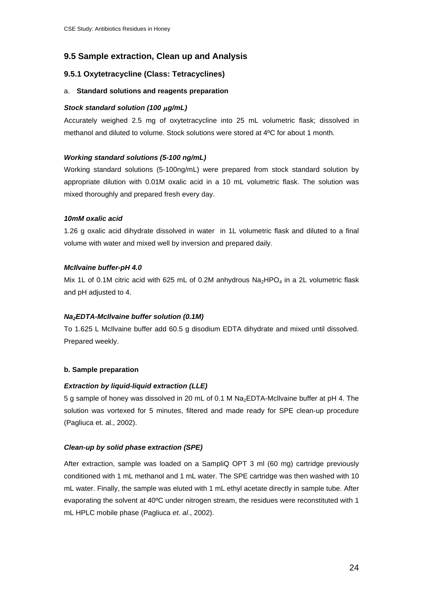# **9.5 Sample extraction, Clean up and Analysis**

# **9.5.1 Oxytetracycline (Class: Tetracyclines)**

#### a. **Standard solutions and reagents preparation**

### *Stock standard solution (100* μ*g/mL)*

Accurately weighed 2.5 mg of oxytetracycline into 25 mL volumetric flask; dissolved in methanol and diluted to volume. Stock solutions were stored at 4ºC for about 1 month.

# *Working standard solutions (5-100 ng/mL)*

Working standard solutions (5-100ng/mL) were prepared from stock standard solution by appropriate dilution with 0.01M oxalic acid in a 10 mL volumetric flask. The solution was mixed thoroughly and prepared fresh every day.

# *10mM oxalic acid*

1.26 g oxalic acid dihydrate dissolved in water in 1L volumetric flask and diluted to a final volume with water and mixed well by inversion and prepared daily.

# *McIlvaine buffer-pH 4.0*

Mix 1L of 0.1M citric acid with 625 mL of 0.2M anhydrous  $Na<sub>2</sub>HPO<sub>4</sub>$  in a 2L volumetric flask and pH adjusted to 4.

# *Na2EDTA-McIlvaine buffer solution (0.1M)*

To 1.625 L McIlvaine buffer add 60.5 g disodium EDTA dihydrate and mixed until dissolved. Prepared weekly.

# **b. Sample preparation**

# *Extraction by liquid-liquid extraction (LLE)*

5 g sample of honey was dissolved in 20 mL of 0.1 M Na2EDTA-Mcllvaine buffer at pH 4. The solution was vortexed for 5 minutes, filtered and made ready for SPE clean-up procedure (Pagliuca et. al., 2002).

# *Clean-up by solid phase extraction (SPE)*

After extraction, sample was loaded on a SampliQ OPT 3 ml (60 mg) cartridge previously conditioned with 1 mL methanol and 1 mL water. The SPE cartridge was then washed with 10 mL water. Finally, the sample was eluted with 1 mL ethyl acetate directly in sample tube. After evaporating the solvent at 40ºC under nitrogen stream, the residues were reconstituted with 1 mL HPLC mobile phase (Pagliuca *et. al*., 2002).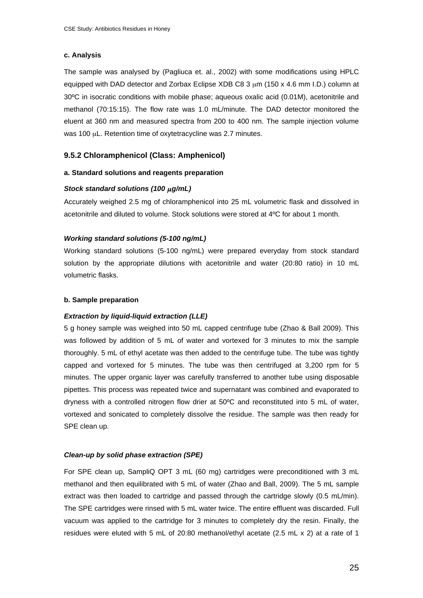#### **c. Analysis**

The sample was analysed by (Pagliuca et. al., 2002) with some modifications using HPLC equipped with DAD detector and Zorbax Eclipse XDB C8 3  $\mu$ m (150 x 4.6 mm I.D.) column at 30ºC in isocratic conditions with mobile phase; aqueous oxalic acid (0.01M), acetonitrile and methanol (70:15:15). The flow rate was 1.0 mL/minute. The DAD detector monitored the eluent at 360 nm and measured spectra from 200 to 400 nm. The sample injection volume was 100 μL. Retention time of oxytetracycline was 2.7 minutes.

# **9.5.2 Chloramphenicol (Class: Amphenicol)**

#### **a. Standard solutions and reagents preparation**

#### *Stock standard solutions (100* μ*g/mL)*

Accurately weighed 2.5 mg of chloramphenicol into 25 mL volumetric flask and dissolved in acetonitrile and diluted to volume. Stock solutions were stored at 4ºC for about 1 month.

#### *Working standard solutions (5-100 ng/mL)*

Working standard solutions (5-100 ng/mL) were prepared everyday from stock standard solution by the appropriate dilutions with acetonitrile and water (20:80 ratio) in 10 mL volumetric flasks.

#### **b. Sample preparation**

#### *Extraction by liquid-liquid extraction (LLE)*

5 g honey sample was weighed into 50 mL capped centrifuge tube (Zhao & Ball 2009). This was followed by addition of 5 mL of water and vortexed for 3 minutes to mix the sample thoroughly. 5 mL of ethyl acetate was then added to the centrifuge tube. The tube was tightly capped and vortexed for 5 minutes. The tube was then centrifuged at 3,200 rpm for 5 minutes. The upper organic layer was carefully transferred to another tube using disposable pipettes. This process was repeated twice and supernatant was combined and evaporated to dryness with a controlled nitrogen flow drier at 50ºC and reconstituted into 5 mL of water, vortexed and sonicated to completely dissolve the residue. The sample was then ready for SPE clean up.

#### *Clean-up by solid phase extraction (SPE)*

For SPE clean up, SampliQ OPT 3 mL (60 mg) cartridges were preconditioned with 3 mL methanol and then equilibrated with 5 mL of water (Zhao and Ball, 2009). The 5 mL sample extract was then loaded to cartridge and passed through the cartridge slowly (0.5 mL/min). The SPE cartridges were rinsed with 5 mL water twice. The entire effluent was discarded. Full vacuum was applied to the cartridge for 3 minutes to completely dry the resin. Finally, the residues were eluted with 5 mL of 20:80 methanol/ethyl acetate (2.5 mL x 2) at a rate of 1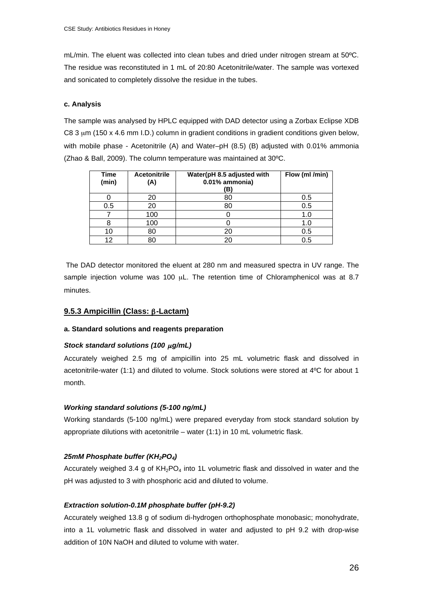mL/min. The eluent was collected into clean tubes and dried under nitrogen stream at 50ºC. The residue was reconstituted in 1 mL of 20:80 Acetonitrile/water. The sample was vortexed and sonicated to completely dissolve the residue in the tubes.

#### **c. Analysis**

The sample was analysed by HPLC equipped with DAD detector using a Zorbax Eclipse XDB C8 3  $\mu$ m (150 x 4.6 mm I.D.) column in gradient conditions in gradient conditions given below, with mobile phase - Acetonitrile (A) and Water–pH (8.5) (B) adjusted with 0.01% ammonia (Zhao & Ball, 2009). The column temperature was maintained at 30ºC.

| Time<br>(min) | <b>Acetonitrile</b><br>(A) | Water(pH 8.5 adjusted with<br>0.01% ammonia)<br>'B) | Flow (ml /min) |
|---------------|----------------------------|-----------------------------------------------------|----------------|
|               | 20                         | 80                                                  | 0.5            |
| 0.5           |                            | 80                                                  | 0.5            |
|               | 100                        |                                                     | 1.0            |
|               | 100                        |                                                     | 1.C            |
| 10            | 80                         | 20                                                  | 0.5            |
| 12            |                            | 20                                                  | 0.5            |

 The DAD detector monitored the eluent at 280 nm and measured spectra in UV range. The sample injection volume was 100 μL. The retention time of Chloramphenicol was at 8.7 minutes.

#### **9.5.3 Ampicillin (Class: β-Lactam)**

#### **a. Standard solutions and reagents preparation**

#### *Stock standard solutions (100* <sup>μ</sup>*g/mL)*

Accurately weighed 2.5 mg of ampicillin into 25 mL volumetric flask and dissolved in acetonitrile-water (1:1) and diluted to volume. Stock solutions were stored at 4ºC for about 1 month.

#### *Working standard solutions (5-100 ng/mL)*

Working standards (5-100 ng/mL) were prepared everyday from stock standard solution by appropriate dilutions with acetonitrile – water (1:1) in 10 mL volumetric flask.

#### *25mM Phosphate buffer (KH2PO4)*

Accurately weighed 3.4 g of  $KH_2PO_4$  into 1L volumetric flask and dissolved in water and the pH was adjusted to 3 with phosphoric acid and diluted to volume.

#### *Extraction solution-0.1M phosphate buffer (pH-9.2)*

Accurately weighed 13.8 g of sodium di-hydrogen orthophosphate monobasic; monohydrate, into a 1L volumetric flask and dissolved in water and adjusted to pH 9.2 with drop-wise addition of 10N NaOH and diluted to volume with water.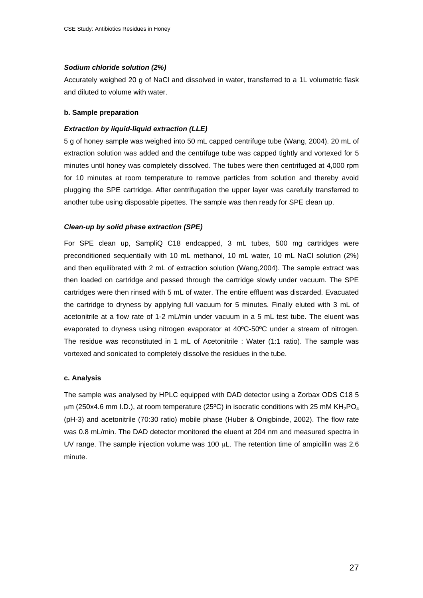#### *Sodium chloride solution (2%)*

Accurately weighed 20 g of NaCl and dissolved in water, transferred to a 1L volumetric flask and diluted to volume with water.

#### **b. Sample preparation**

#### *Extraction by liquid-liquid extraction (LLE)*

5 g of honey sample was weighed into 50 mL capped centrifuge tube (Wang, 2004). 20 mL of extraction solution was added and the centrifuge tube was capped tightly and vortexed for 5 minutes until honey was completely dissolved. The tubes were then centrifuged at 4,000 rpm for 10 minutes at room temperature to remove particles from solution and thereby avoid plugging the SPE cartridge. After centrifugation the upper layer was carefully transferred to another tube using disposable pipettes. The sample was then ready for SPE clean up.

#### *Clean-up by solid phase extraction (SPE)*

For SPE clean up, SampliQ C18 endcapped, 3 mL tubes, 500 mg cartridges were preconditioned sequentially with 10 mL methanol, 10 mL water, 10 mL NaCl solution (2%) and then equilibrated with 2 mL of extraction solution (Wang,2004). The sample extract was then loaded on cartridge and passed through the cartridge slowly under vacuum. The SPE cartridges were then rinsed with 5 mL of water. The entire effluent was discarded. Evacuated the cartridge to dryness by applying full vacuum for 5 minutes. Finally eluted with 3 mL of acetonitrile at a flow rate of 1-2 mL/min under vacuum in a 5 mL test tube. The eluent was evaporated to dryness using nitrogen evaporator at 40ºC-50ºC under a stream of nitrogen. The residue was reconstituted in 1 mL of Acetonitrile : Water (1:1 ratio). The sample was vortexed and sonicated to completely dissolve the residues in the tube.

#### **c. Analysis**

The sample was analysed by HPLC equipped with DAD detector using a Zorbax ODS C18 5 μm (250x4.6 mm I.D.), at room temperature (25°C) in isocratic conditions with 25 mM KH<sub>2</sub>PO<sub>4</sub> (pH-3) and acetonitrile (70:30 ratio) mobile phase (Huber & Onigbinde, 2002). The flow rate was 0.8 mL/min. The DAD detector monitored the eluent at 204 nm and measured spectra in UV range. The sample injection volume was 100 μL. The retention time of ampicillin was 2.6 minute.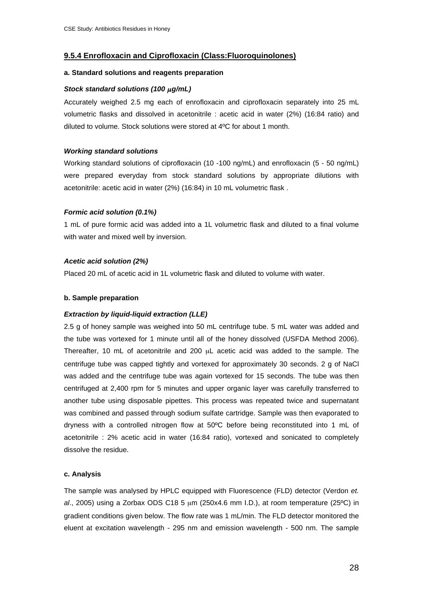### **9.5.4 Enrofloxacin and Ciprofloxacin (Class:Fluoroquinolones)**

#### **a. Standard solutions and reagents preparation**

#### *Stock standard solutions (100* μ*g/mL)*

Accurately weighed 2.5 mg each of enrofloxacin and ciprofloxacin separately into 25 mL volumetric flasks and dissolved in acetonitrile : acetic acid in water (2%) (16:84 ratio) and diluted to volume. Stock solutions were stored at 4ºC for about 1 month.

#### *Working standard solutions*

Working standard solutions of ciprofloxacin (10 -100 ng/mL) and enrofloxacin (5 - 50 ng/mL) were prepared everyday from stock standard solutions by appropriate dilutions with acetonitrile: acetic acid in water (2%) (16:84) in 10 mL volumetric flask .

#### *Formic acid solution (0.1%)*

1 mL of pure formic acid was added into a 1L volumetric flask and diluted to a final volume with water and mixed well by inversion.

#### *Acetic acid solution (2%)*

Placed 20 mL of acetic acid in 1L volumetric flask and diluted to volume with water.

#### **b. Sample preparation**

#### *Extraction by liquid-liquid extraction (LLE)*

2.5 g of honey sample was weighed into 50 mL centrifuge tube. 5 mL water was added and the tube was vortexed for 1 minute until all of the honey dissolved (USFDA Method 2006). Thereafter, 10 mL of acetonitrile and 200 μL acetic acid was added to the sample. The centrifuge tube was capped tightly and vortexed for approximately 30 seconds. 2 g of NaCl was added and the centrifuge tube was again vortexed for 15 seconds. The tube was then centrifuged at 2,400 rpm for 5 minutes and upper organic layer was carefully transferred to another tube using disposable pipettes. This process was repeated twice and supernatant was combined and passed through sodium sulfate cartridge. Sample was then evaporated to dryness with a controlled nitrogen flow at 50ºC before being reconstituted into 1 mL of acetonitrile : 2% acetic acid in water (16:84 ratio), vortexed and sonicated to completely dissolve the residue.

#### **c. Analysis**

The sample was analysed by HPLC equipped with Fluorescence (FLD) detector (Verdon *et. al*., 2005) using a Zorbax ODS C18 5 μm (250x4.6 mm I.D.), at room temperature (25ºC) in gradient conditions given below. The flow rate was 1 mL/min. The FLD detector monitored the eluent at excitation wavelength - 295 nm and emission wavelength - 500 nm. The sample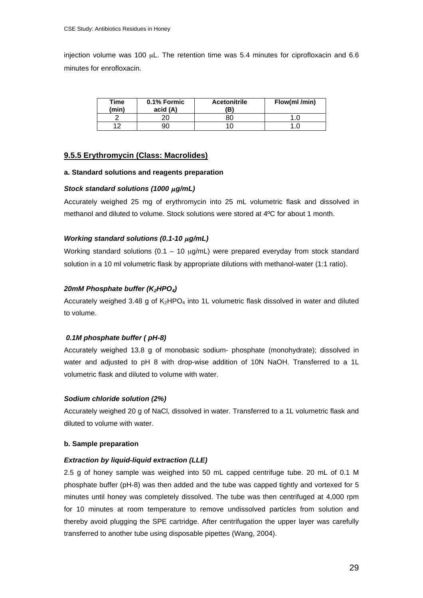injection volume was 100 μL. The retention time was 5.4 minutes for ciprofloxacin and 6.6 minutes for enrofloxacin.

| Time<br>(min) | 0.1% Formic<br>acid (A) | <b>Acetonitrile</b><br>ΈB) | Flow(ml /min) |
|---------------|-------------------------|----------------------------|---------------|
|               | 20                      |                            |               |
| 10            | 90                      |                            |               |

#### **9.5.5 Erythromycin (Class: Macrolides)**

#### **a. Standard solutions and reagents preparation**

#### *Stock standard solutions (1000* μ*g/mL)*

Accurately weighed 25 mg of erythromycin into 25 mL volumetric flask and dissolved in methanol and diluted to volume. Stock solutions were stored at 4ºC for about 1 month.

#### *Working standard solutions (0.1-10* μ*g/mL)*

Working standard solutions  $(0.1 - 10 \mu g/mL)$  were prepared everyday from stock standard solution in a 10 ml volumetric flask by appropriate dilutions with methanol-water (1:1 ratio).

#### 20mM Phosphate buffer (K<sub>2</sub>HPO<sub>4</sub>)

Accurately weighed 3.48 g of  $K_2$ HPO<sub>4</sub> into 1L volumetric flask dissolved in water and diluted to volume.

#### *0.1M phosphate buffer ( pH-8)*

Accurately weighed 13.8 g of monobasic sodium- phosphate (monohydrate); dissolved in water and adjusted to pH 8 with drop-wise addition of 10N NaOH. Transferred to a 1L volumetric flask and diluted to volume with water.

#### *Sodium chloride solution (2%)*

Accurately weighed 20 g of NaCl, dissolved in water. Transferred to a 1L volumetric flask and diluted to volume with water.

#### **b. Sample preparation**

#### *Extraction by liquid-liquid extraction (LLE)*

2.5 g of honey sample was weighed into 50 mL capped centrifuge tube. 20 mL of 0.1 M phosphate buffer (pH-8) was then added and the tube was capped tightly and vortexed for 5 minutes until honey was completely dissolved. The tube was then centrifuged at 4,000 rpm for 10 minutes at room temperature to remove undissolved particles from solution and thereby avoid plugging the SPE cartridge. After centrifugation the upper layer was carefully transferred to another tube using disposable pipettes (Wang, 2004).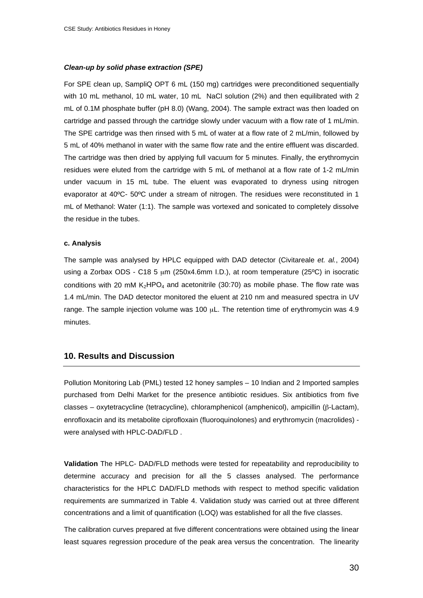#### *Clean-up by solid phase extraction (SPE)*

For SPE clean up, SampliQ OPT 6 mL (150 mg) cartridges were preconditioned sequentially with 10 mL methanol, 10 mL water, 10 mL NaCl solution (2%) and then equilibrated with 2 mL of 0.1M phosphate buffer (pH 8.0) (Wang, 2004). The sample extract was then loaded on cartridge and passed through the cartridge slowly under vacuum with a flow rate of 1 mL/min. The SPE cartridge was then rinsed with 5 mL of water at a flow rate of 2 mL/min, followed by 5 mL of 40% methanol in water with the same flow rate and the entire effluent was discarded. The cartridge was then dried by applying full vacuum for 5 minutes. Finally, the erythromycin residues were eluted from the cartridge with 5 mL of methanol at a flow rate of 1-2 mL/min under vacuum in 15 mL tube. The eluent was evaporated to dryness using nitrogen evaporator at 40ºC- 50ºC under a stream of nitrogen. The residues were reconstituted in 1 mL of Methanol: Water (1:1). The sample was vortexed and sonicated to completely dissolve the residue in the tubes.

#### **c. Analysis**

The sample was analysed by HPLC equipped with DAD detector (Civitareale *et. al.*, 2004) using a Zorbax ODS - C18 5 μm (250x4.6mm I.D.), at room temperature (25ºC) in isocratic conditions with 20 mM  $K_2HPO_4$  and acetonitrile (30:70) as mobile phase. The flow rate was 1.4 mL/min. The DAD detector monitored the eluent at 210 nm and measured spectra in UV range. The sample injection volume was 100 μL. The retention time of erythromycin was 4.9 minutes.

# **10. Results and Discussion**

Pollution Monitoring Lab (PML) tested 12 honey samples – 10 Indian and 2 Imported samples purchased from Delhi Market for the presence antibiotic residues. Six antibiotics from five classes – oxytetracycline (tetracycline), chloramphenicol (amphenicol), ampicillin ( $\beta$ -Lactam), enrofloxacin and its metabolite ciprofloxain (fluoroquinolones) and erythromycin (macrolides) were analysed with HPLC-DAD/FLD .

**Validation** The HPLC- DAD/FLD methods were tested for repeatability and reproducibility to determine accuracy and precision for all the 5 classes analysed. The performance characteristics for the HPLC DAD/FLD methods with respect to method specific validation requirements are summarized in Table 4. Validation study was carried out at three different concentrations and a limit of quantification (LOQ) was established for all the five classes.

The calibration curves prepared at five different concentrations were obtained using the linear least squares regression procedure of the peak area versus the concentration. The linearity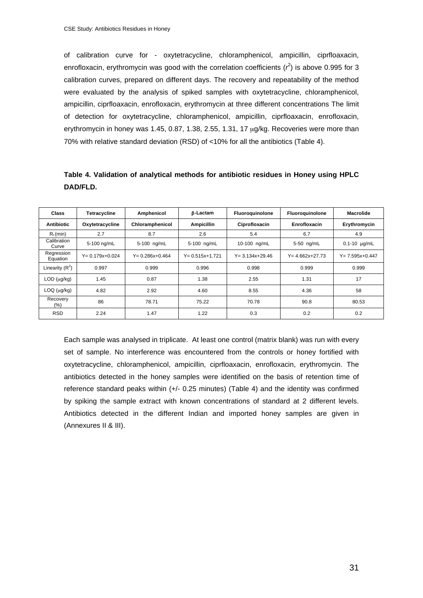of calibration curve for - oxytetracycline, chloramphenicol, ampicillin, ciprfloaxacin, enrofloxacin, erythromycin was good with the correlation coefficients  $(r^2)$  is above 0.995 for 3 calibration curves, prepared on different days. The recovery and repeatability of the method were evaluated by the analysis of spiked samples with oxytetracycline, chloramphenicol, ampicillin, ciprfloaxacin, enrofloxacin, erythromycin at three different concentrations The limit of detection for oxytetracycline, chloramphenicol, ampicillin, ciprfloaxacin, enrofloxacin, erythromycin in honey was 1.45, 0.87, 1.38, 2.55, 1.31, 17 μg/kg. Recoveries were more than 70% with relative standard deviation (RSD) of <10% for all the antibiotics (Table 4).

| Table 4. Validation of analytical methods for antibiotic residues in Honey using HPLC |  |  |  |
|---------------------------------------------------------------------------------------|--|--|--|
| DAD/FLD.                                                                              |  |  |  |

| <b>Class</b>            | <b>Tetracycline</b>  | Amphenicol           | <b>B-Lactam</b>      | Fluoroguinolone      | Fluoroguinolone      | <b>Macrolide</b>     |
|-------------------------|----------------------|----------------------|----------------------|----------------------|----------------------|----------------------|
| <b>Antibiotic</b>       | Oxytetracycline      | Chloramphenicol      | <b>Ampicillin</b>    | Ciprofloxacin        | Enrofloxacin         | Erythromycin         |
| $R_t$ (min)             | 2.7                  | 8.7                  | 2.6                  | 5.4                  | 6.7                  | 4.9                  |
| Calibration<br>Curve    | 5-100 ng/mL          | 5-100 ng/mL          | 5-100 ng/mL          | 10-100 ng/mL         | 5-50 ng/mL           | $0.1 - 10$ µg/mL     |
| Regression<br>Equation  | $Y = 0.179x + 0.024$ | $Y = 0.286x + 0.464$ | $Y = 0.515x + 1.721$ | $Y = 3.134x + 29.46$ | $Y = 4.662x + 27.73$ | $Y = 7.595x + 0.447$ |
| Linearity $(R^2)$       | 0.997                | 0.999                | 0.996                | 0.998                | 0.999                | 0.999                |
| $LOD$ ( $\mu$ g/kg)     | 1.45                 | 0.87                 | 1.38                 | 2.55                 | 1.31                 | 17                   |
| $LOQ$ ( $\mu$ g/ $kg$ ) | 4.82                 | 2.92                 | 4.60                 | 8.55                 | 4.36                 | 58                   |
| Recovery<br>$(\% )$     | 86                   | 78.71                | 75.22                | 70.78                | 90.8                 | 80.53                |
| <b>RSD</b>              | 2.24                 | 1.47                 | 1.22                 | 0.3                  | 0.2                  | 0.2                  |

Each sample was analysed in triplicate. At least one control (matrix blank) was run with every set of sample. No interference was encountered from the controls or honey fortified with oxytetracycline, chloramphenicol, ampicillin, ciprfloaxacin, enrofloxacin, erythromycin. The antibiotics detected in the honey samples were identified on the basis of retention time of reference standard peaks within (+/- 0.25 minutes) (Table 4) and the identity was confirmed by spiking the sample extract with known concentrations of standard at 2 different levels. Antibiotics detected in the different Indian and imported honey samples are given in (Annexures II & III).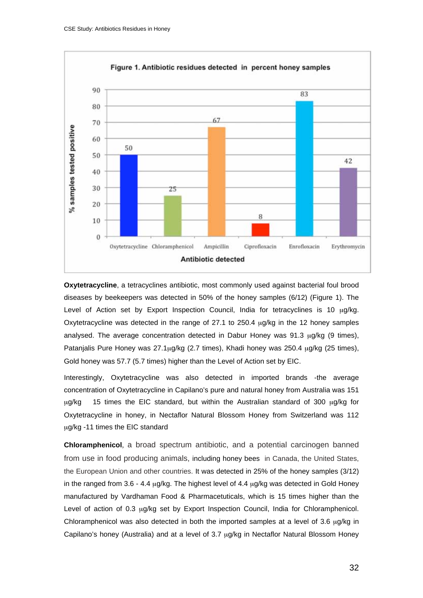

**Oxytetracycline**, a tetracyclines antibiotic, most commonly used against bacterial foul brood diseases by beekeepers was detected in 50% of the honey samples (6/12) (Figure 1). The Level of Action set by Export Inspection Council, India for tetracyclines is 10 μg/kg. Oxytetracycline was detected in the range of 27.1 to 250.4  $\mu$ g/kg in the 12 honey samples analysed. The average concentration detected in Dabur Honey was 91.3 μg/kg (9 times), Patanjalis Pure Honey was 27.1μg/kg (2.7 times), Khadi honey was 250.4 μg/kg (25 times), Gold honey was 57.7 (5.7 times) higher than the Level of Action set by EIC.

Interestingly, Oxytetracycline was also detected in imported brands -the average concentration of Oxytetracycline in Capilano's pure and natural honey from Australia was 151 μg/kg 15 times the EIC standard, but within the Australian standard of 300 μg/kg for Oxytetracycline in honey, in Nectaflor Natural Blossom Honey from Switzerland was 112 μg/kg -11 times the EIC standard

**Chloramphenicol**, a broad spectrum antibiotic, and a potential carcinogen banned from use in food producing animals, including honey bees in Canada, the United States, the European Union and other countries. It was detected in 25% of the honey samples (3/12) in the ranged from 3.6 - 4.4  $\mu$ g/kg. The highest level of 4.4  $\mu$ g/kg was detected in Gold Honey manufactured by Vardhaman Food & Pharmacetuticals, which is 15 times higher than the Level of action of 0.3 μg/kg set by Export Inspection Council, India for Chloramphenicol. Chloramphenicol was also detected in both the imported samples at a level of 3.6 μg/kg in Capilano's honey (Australia) and at a level of 3.7 μg/kg in Nectaflor Natural Blossom Honey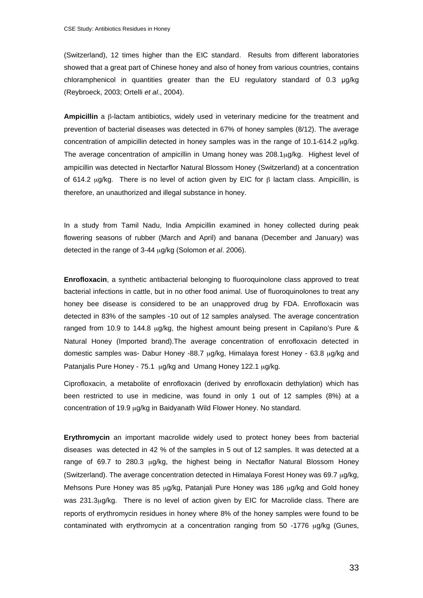(Switzerland), 12 times higher than the EIC standard. Results from different laboratories showed that a great part of Chinese honey and also of honey from various countries, contains chloramphenicol in quantities greater than the EU regulatory standard of 0.3 µg/kg (Reybroeck, 2003; Ortelli *et al*., 2004).

**Ampicillin** a  $\beta$ -lactam antibiotics, widely used in veterinary medicine for the treatment and prevention of bacterial diseases was detected in 67% of honey samples (8/12). The average concentration of ampicillin detected in honey samples was in the range of 10.1-614.2 μg/kg. The average concentration of ampicillin in Umang honey was 208.1μg/kg. Highest level of ampicillin was detected in Nectarflor Natural Blossom Honey (Switzerland) at a concentration of 614.2  $\mu$ g/kg. There is no level of action given by EIC for  $\beta$  lactam class. Ampicillin, is therefore, an unauthorized and illegal substance in honey.

In a study from Tamil Nadu, India Ampicillin examined in honey collected during peak flowering seasons of rubber (March and April) and banana (December and January) was detected in the range of 3-44 μg/kg (Solomon *et al*. 2006).

**Enrofloxacin**, a synthetic antibacterial belonging to fluoroquinolone class approved to treat bacterial infections in cattle, but in no other food animal. Use of fluoroquinolones to treat any honey bee disease is considered to be an unapproved drug by FDA. Enrofloxacin was detected in 83% of the samples -10 out of 12 samples analysed. The average concentration ranged from 10.9 to 144.8  $\mu$ g/kg, the highest amount being present in Capilano's Pure & Natural Honey (Imported brand).The average concentration of enrofloxacin detected in domestic samples was- Dabur Honey -88.7 μg/kg, Himalaya forest Honey - 63.8 μg/kg and Patanjalis Pure Honey - 75.1 μg/kg and Umang Honey 122.1 μg/kg.

Ciprofloxacin, a metabolite of enrofloxacin (derived by enrofloxacin dethylation) which has been restricted to use in medicine, was found in only 1 out of 12 samples (8%) at a concentration of 19.9 μg/kg in Baidyanath Wild Flower Honey. No standard.

**Erythromycin** an important macrolide widely used to protect honey bees from bacterial diseases was detected in 42 % of the samples in 5 out of 12 samples. It was detected at a range of 69.7 to 280.3 μg/kg, the highest being in Nectaflor Natural Blossom Honey (Switzerland). The average concentration detected in Himalaya Forest Honey was 69.7 μg/kg, Mehsons Pure Honey was 85 μg/kg, Patanjali Pure Honey was 186 μg/kg and Gold honey was 231.3μg/kg. There is no level of action given by EIC for Macrolide class. There are reports of erythromycin residues in honey where 8% of the honey samples were found to be contaminated with erythromycin at a concentration ranging from 50 -1776 μg/kg (Gunes,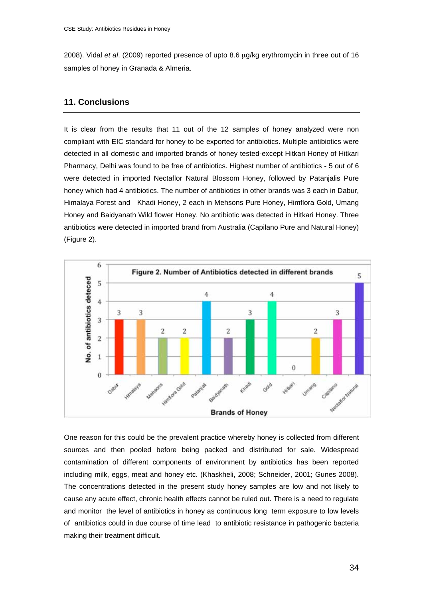2008). Vidal *et al*. (2009) reported presence of upto 8.6 μg/kg erythromycin in three out of 16 samples of honey in Granada & Almeria.

# **11. Conclusions**

It is clear from the results that 11 out of the 12 samples of honey analyzed were non compliant with EIC standard for honey to be exported for antibiotics. Multiple antibiotics were detected in all domestic and imported brands of honey tested-except Hitkari Honey of Hitkari Pharmacy, Delhi was found to be free of antibiotics. Highest number of antibiotics - 5 out of 6 were detected in imported Nectaflor Natural Blossom Honey, followed by Patanjalis Pure honey which had 4 antibiotics. The number of antibiotics in other brands was 3 each in Dabur, Himalaya Forest and Khadi Honey, 2 each in Mehsons Pure Honey, Himflora Gold, Umang Honey and Baidyanath Wild flower Honey. No antibiotic was detected in Hitkari Honey. Three antibiotics were detected in imported brand from Australia (Capilano Pure and Natural Honey) (Figure 2).



One reason for this could be the prevalent practice whereby honey is collected from different sources and then pooled before being packed and distributed for sale. Widespread contamination of different components of environment by antibiotics has been reported including milk, eggs, meat and honey etc. (Khaskheli, 2008; Schneider, 2001; Gunes 2008). The concentrations detected in the present study honey samples are low and not likely to cause any acute effect, chronic health effects cannot be ruled out. There is a need to regulate and monitor the level of antibiotics in honey as continuous long term exposure to low levels of antibiotics could in due course of time lead to antibiotic resistance in pathogenic bacteria making their treatment difficult.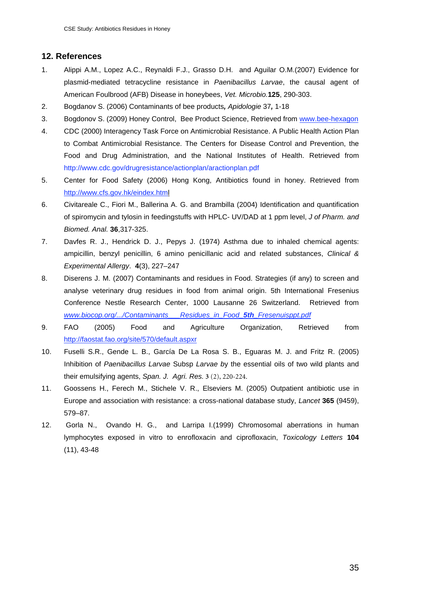# **12. References**

- 1. Alippi A.M., Lopez A.C., Reynaldi F.J., Grasso D.H. and Aguilar O.M.(2007) Evidence for plasmid-mediated tetracycline resistance in *Paenibacillus Larvae*, the causal agent of American Foulbrood (AFB) Disease in honeybees, *Vet. Microbio.***125**, 290-303.
- 2. Bogdanov S. (2006) Contaminants of bee products*, Apidologie* 37*,* 1-18
- 3. Bogdonov S. (2009) Honey Control, Bee Product Science, Retrieved from www.bee-hexagon
- 4. CDC (2000) Interagency Task Force on Antimicrobial Resistance. A Public Health Action Plan to Combat Antimicrobial Resistance. The Centers for Disease Control and Prevention, the Food and Drug Administration, and the National Institutes of Health. Retrieved from http://www.cdc.gov/drugresistance/actionplan/aractionplan.pdf
- 5. Center for Food Safety (2006) Hong Kong, Antibiotics found in honey. Retrieved from http://www.cfs.gov.hk/eindex.html
- 6. Civitareale C., Fiori M., Ballerina A. G. and Brambilla (2004) Identification and quantification of spiromycin and tylosin in feedingstuffs with HPLC- UV/DAD at 1 ppm level, *J of Pharm. and Biomed. Anal.* **36**,317-325.
- 7. Davfes R. J., Hendrick D. J., Pepys J. (1974) Asthma due to inhaled chemical agents: ampicillin, benzyl penicillin, 6 amino penicillanic acid and related substances, *Clinical & Experimental Allergy*. **4**(3), 227–247
- 8. Diserens J. M. (2007) Contaminants and residues in Food. Strategies (if any) to screen and analyse veterinary drug residues in food from animal origin. 5th International Fresenius Conference Nestle Research Center, 1000 Lausanne 26 Switzerland. Retrieved from *www.biocop.org/.../Contaminants\_\_\_Residues\_in\_Food\_5th\_Fresenuisppt.pdf*
- 9. FAO (2005) Food and Agriculture Organization, Retrieved from http://faostat.fao.org/site/570/default.aspxr
- 10. Fuselli S.R., Gende L. B., García De La Rosa S. B., Eguaras M. J. and Fritz R. (2005) Inhibition of *Paenibacillus Larvae* Subsp *Larvae b*y the essential oils of two wild plants and their emulsifying agents, *Span. J. Agri. Res.* **3** (2), 220-224.
- 11. Goossens H., Ferech M., Stichele V. R., Elseviers M. (2005) Outpatient antibiotic use in Europe and association with resistance: a cross-national database study, *Lancet* **365** (9459), 579–87.
- 12. Gorla N., Ovando H. G., and Larripa I.(1999) Chromosomal aberrations in human lymphocytes exposed in vitro to enrofloxacin and ciprofloxacin, *Toxicology Letters* **104**  (11), 43-48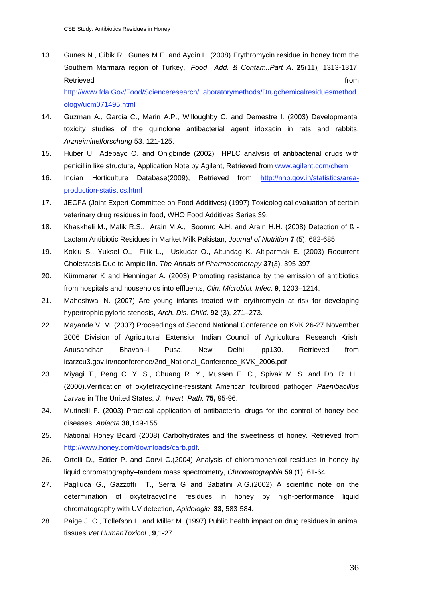13. Gunes N., Cibik R., Gunes M.E. and Aydin L. (2008) Erythromycin residue in honey from the Southern Marmara region of Turkey, Food Add. & Contam.:Part A. 25(11), 1313-1317. Retrieved **from the set of the set of the set of the set of the set of the set of the set of the set of the set of the set of the set of the set of the set of the set of the set of the set of the set of the set of the set** http://www.fda.Gov/Food/Scienceresearch/Laboratorymethods/Drugchemicalresiduesmethod

ology/ucm071495.html

- 14. Guzman A., Garcia C., Marin A.P., Willoughby C. and Demestre I. (2003) Developmental toxicity studies of the quinolone antibacterial agent irloxacin in rats and rabbits, *Arzneimittelforschung* 53, 121-125.
- 15. Huber U., Adebayo O. and Onigbinde (2002) HPLC analysis of antibacterial drugs with penicillin like structure, Application Note by Agilent, Retrieved from www.agilent.com/chem
- 16. Indian Horticulture Database(2009), Retrieved from http://nhb.gov.in/statistics/areaproduction-statistics.html
- 17. JECFA (Joint Expert Committee on Food Additives) (1997) Toxicological evaluation of certain veterinary drug residues in food, WHO Food Additives Series 39.
- 18. Khaskheli M., Malik R.S., Arain M.A., Soomro A.H. and Arain H.H. (2008) Detection of ß Lactam Antibiotic Residues in Market Milk Pakistan, *Journal of Nutrition* **7** (5), 682-685.
- 19. Koklu S., Yuksel O., Filik L., Uskudar O., Altundag K. Altiparmak E. (2003) Recurrent Cholestasis Due to Ampicillin. *The Annals of Pharmacotherapy* **37**(3), 395-397
- 20. Kümmerer K and Henninger A. (2003) Promoting resistance by the emission of antibiotics from hospitals and households into effluents, *Clin. Microbiol. Infec*. **9**, 1203–1214.
- 21. Maheshwai N. (2007) Are young infants treated with erythromycin at risk for developing hypertrophic pyloric stenosis, *Arch. Dis. Child.* **92** (3), 271–273.
- 22. Mayande V. M. (2007) Proceedings of Second National Conference on KVK 26-27 November 2006 Division of Agricultural Extension Indian Council of Agricultural Research Krishi Anusandhan Bhavan–I Pusa, New Delhi, pp130. Retrieved from icarzcu3.gov.in/nconference/2nd\_National\_Conference\_KVK\_2006.pdf
- 23. Miyagi T., Peng C. Y. S., Chuang R. Y., Mussen E. C., Spivak M. S. and Doi R. H., (2000).Verification of oxytetracycline-resistant American foulbrood pathogen *Paenibacillus Larvae* in The United States, *J. Invert. Path.* **75,** 95-96.
- 24. Mutinelli F. (2003) Practical application of antibacterial drugs for the control of honey bee diseases, *Apiacta* **38**,149-155.
- 25. National Honey Board (2008) Carbohydrates and the sweetness of honey. Retrieved from http://www.honey.com/downloads/carb.pdf.
- 26. Ortelli D., Edder P. and Corvi C.(2004) Analysis of chloramphenicol residues in honey by liquid chromatography–tandem mass spectrometry, *Chromatographia* **59** (1), 61-64.
- 27. Pagliuca G., Gazzotti T., Serra G and Sabatini A.G.(2002) A scientific note on the determination of oxytetracycline residues in honey by high-performance liquid chromatography with UV detection, *Apidologie* **33,** 583-584.
- 28. Paige J. C., Tollefson L. and Miller M. (1997) Public health impact on drug residues in animal tissues.*Vet.HumanToxicol*., **9**,1-27.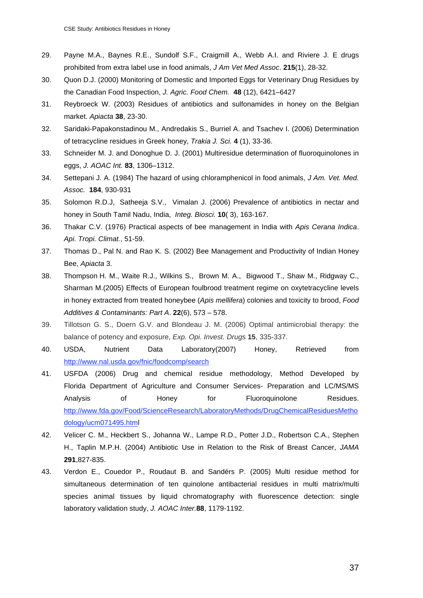- 29. Payne M.A., Baynes R.E., Sundolf S.F., Craigmill A., Webb A.I. and Riviere J. E drugs prohibited from extra label use in food animals, *J Am Vet Med Assoc*. **215**(1), 28-32.
- 30. Quon D.J. (2000) Monitoring of Domestic and Imported Eggs for Veterinary Drug Residues by the Canadian Food Inspection, *J. Agric. Food Chem.* **48** (12), 6421–6427
- 31. Reybroeck W. (2003) Residues of antibiotics and sulfonamides in honey on the Belgian market. *Apiacta* **38**, 23-30.
- 32. Saridaki-Papakonstadinou M., Andredakis S., Burriel A. and Tsachev I. (2006) Determination of tetracycline residues in Greek honey, *Trakia J. Sci.* **4** (1), 33-36.
- 33. Schneider M. J. and Donoghue D. J. (2001) Multiresidue determination of fluoroquinolones in eggs, *J. AOAC Int.* **83**, 1306–1312.
- 34. Settepani J. A. (1984) The hazard of using chloramphenicol in food animals, *J Am. Vet. Med. Assoc.* **184**, 930-931
- 35. Solomon R.D.J, Satheeja S.V., Vimalan J. (2006) Prevalence of antibiotics in nectar and honey in South Tamil Nadu, India, *Integ. Biosci.* **10**( 3), 163-167.
- 36. Thakar C.V. (1976) Practical aspects of bee management in India with *Apis Cerana Indica*. *Api. Tropi. Climat.*, 51-59.
- 37. Thomas D., Pal N. and Rao K. S. (2002) Bee Management and Productivity of Indian Honey Bee, *Apiacta* 3.
- 38. Thompson H. M., Waite R.J., Wilkins S., Brown M. A., Bigwood T., Shaw M., Ridgway C., Sharman M.(2005) Effects of European foulbrood treatment regime on oxytetracycline levels in honey extracted from treated honeybee (*Apis mellifera*) colonies and toxicity to brood, *Food Additives & Contaminants: Part A*. **22**(6), 573 – 578.
- 39. Tillotson G. S., Doern G.V. and Blondeau J. M. (2006) Optimal antimicrobial therapy: the balance of potency and exposure, *Exp. Opi. Invest. Drugs* **15**, 335-337.
- 40. USDA, Nutrient Data Laboratory(2007) Honey, Retrieved from http://www.nal.usda.gov/fnic/foodcomp/search
- 41. USFDA (2006) Drug and chemical residue methodology, Method Developed by Florida Department of Agriculture and Consumer Services- Preparation and LC/MS/MS Analysis of Honey for Fluoroquinolone Residues. http://www.fda.gov/Food/ScienceResearch/LaboratoryMethods/DrugChemicalResiduesMetho dology/ucm071495.html
- 42. Velicer C. M., Heckbert S., Johanna W., Lampe R.D., Potter J.D., Robertson C.A., Stephen H., Taplin M.P.H. (2004) Antibiotic Use in Relation to the Risk of Breast Cancer, *JAMA*  **291**,827-835.
- 43. Verdon E., Couedor P., Roudaut B. and Sandérs P. (2005) Multi residue method for simultaneous determination of ten quinolone antibacterial residues in multi matrix/multi species animal tissues by liquid chromatography with fluorescence detection: single laboratory validation study, *J. AOAC Inter.***88**, 1179-1192.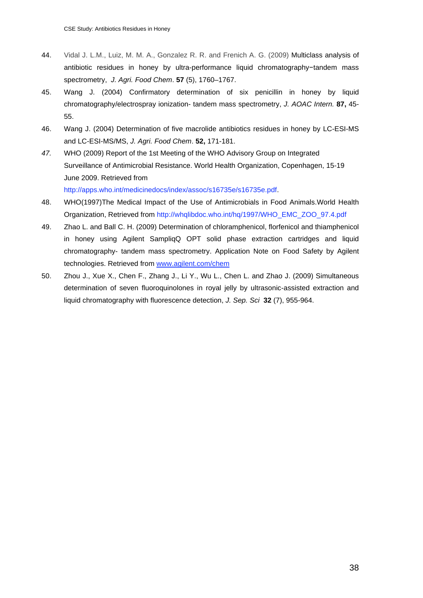- 44. Vidal J. L.M., Luiz, M. M. A., Gonzalez R. R. and Frenich A. G. (2009) Multiclass analysis of antibiotic residues in honey by ultra-performance liquid chromatography-tandem mass spectrometry, *J. Agri. Food Chem*. **57** (5), 1760–1767.
- 45. Wang J. (2004) Confirmatory determination of six penicillin in honey by liquid chromatography/electrospray ionization- tandem mass spectrometry, *J. AOAC Intern.* **87,** 45- 55.
- 46. Wang J. (2004) Determination of five macrolide antibiotics residues in honey by LC-ESI-MS and LC-ESI-MS/MS, *J. Agri. Food Chem*. **52,** 171-181.
- *47.* WHO (2009) Report of the 1st Meeting of the WHO Advisory Group on Integrated Surveillance of Antimicrobial Resistance. World Health Organization, Copenhagen, 15-19 June 2009. Retrieved from

http://apps.who.int/medicinedocs/index/assoc/s16735e/s16735e.pdf.

- 48. WHO(1997)The Medical Impact of the Use of Antimicrobials in Food Animals.World Health Organization, Retrieved from http://whqlibdoc.who.int/hq/1997/WHO\_EMC\_ZOO\_97.4.pdf
- 49. Zhao L. and Ball C. H. (2009) Determination of chloramphenicol, florfenicol and thiamphenicol in honey using Agilent SampliqQ OPT solid phase extraction cartridges and liquid chromatography- tandem mass spectrometry. Application Note on Food Safety by Agilent technologies. Retrieved from www.agilent.com/chem
- 50. Zhou J., Xue X., Chen F., Zhang J., Li Y., Wu L., Chen L. and Zhao J. (2009) Simultaneous determination of seven fluoroquinolones in royal jelly by ultrasonic-assisted extraction and liquid chromatography with fluorescence detection, *J. Sep. Sci* **32** (7), 955-964.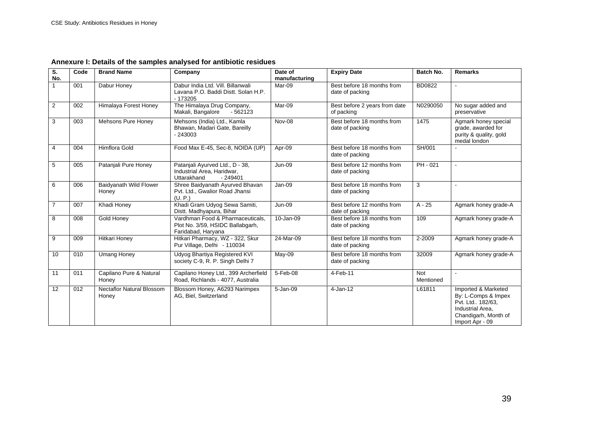| S.<br>No.      | Code | <b>Brand Name</b>                         | Company                                                                                    | Date of<br>manufacturing | <b>Expiry Date</b>                            | <b>Batch No.</b> | <b>Remarks</b>                                                                                                                  |
|----------------|------|-------------------------------------------|--------------------------------------------------------------------------------------------|--------------------------|-----------------------------------------------|------------------|---------------------------------------------------------------------------------------------------------------------------------|
|                | 001  | Dabur Honey                               | Dabur India Ltd. Vill. Billanwali<br>Lavana P.O. Baddi Distt. Solan H.P.<br>$-173205$      | Mar-09                   | Best before 18 months from<br>date of packing | <b>BD0822</b>    |                                                                                                                                 |
| $\overline{2}$ | 002  | Himalaya Forest Honey                     | The Himalaya Drug Company,<br>Makali, Bangalore<br>$-562123$                               | Mar-09                   | Best before 2 years from date<br>of packing   | N0290050         | No sugar added and<br>preservative                                                                                              |
| 3              | 003  | Mehsons Pure Honey                        | Mehsons (India) Ltd., Kamla<br>Bhawan, Madari Gate, Bareilly<br>$-243003$                  | Nov-08                   | Best before 18 months from<br>date of packing | 1475             | Agmark honey special<br>grade, awarded for<br>purity & quality, gold<br>medal london                                            |
| $\overline{4}$ | 004  | <b>Himflora Gold</b>                      | Food Max E-45, Sec-8, NOIDA (UP)                                                           | Apr-09                   | Best before 18 months from<br>date of packing | SH/001           |                                                                                                                                 |
| 5              | 005  | Patanjali Pure Honey                      | Patanjali Ayurved Ltd., D - 38,<br>Industrial Area, Haridwar,<br>Uttarakhand<br>$-249401$  | <b>Jun-09</b>            | Best before 12 months from<br>date of packing | $PH - 021$       | $\sim$                                                                                                                          |
| 6              | 006  | Baidyanath Wild Flower<br>Honey           | Shree Baidyanath Ayurved Bhavan<br>Pvt. Ltd., Gwalior Road Jhansi<br>(U, P)                | Jan-09                   | Best before 18 months from<br>date of packing | 3                |                                                                                                                                 |
| $\overline{7}$ | 007  | Khadi Honey                               | Khadi Gram Udyog Sewa Samiti,<br>Distt. Madhyapura, Bihar                                  | <b>Jun-09</b>            | Best before 12 months from<br>date of packing | $A - 25$         | Agmark honey grade-A                                                                                                            |
| 8              | 008  | Gold Honey                                | Vardhman Food & Pharmaceuticals,<br>Plot No. 3/59, HSIDC Ballabgarh,<br>Faridabad, Haryana | 10-Jan-09                | Best before 18 months from<br>date of packing | 109              | Agmark honey grade-A                                                                                                            |
| 9              | 009  | <b>Hitkari Honey</b>                      | Hitkari Pharmacy, WZ - 322, Skur<br>Pur Village, Delhi - 110034                            | 24-Mar-09                | Best before 18 months from<br>date of packing | 2-2009           | Agmark honey grade-A                                                                                                            |
| 10             | 010  | <b>Umang Honey</b>                        | Udyog Bhartiya Registered KVI<br>society C-9, R. P. Singh Delhi 7                          | $May-09$                 | Best before 18 months from<br>date of packing | 32009            | Agmark honey grade-A                                                                                                            |
| 11             | 011  | Capilano Pure & Natural<br>Honey          | Capilano Honey Ltd., 399 Archerfield<br>Road, Richlands - 4077, Australia                  | 5-Feb-08                 | 4-Feb-11                                      | Not<br>Mentioned |                                                                                                                                 |
| 12             | 012  | <b>Nectaflor Natural Blossom</b><br>Honey | Blossom Honey, A6293 Narimpex<br>AG, Biel, Switzerland                                     | 5-Jan-09                 | 4-Jan-12                                      | L61811           | Imported & Marketed<br>By: L-Comps & Impex<br>Pvt. Ltd., 182/63,<br>Industrial Area,<br>Chandigarh, Month of<br>Import Apr - 09 |

**Annexure I: Details of the samples analysed for antibiotic residues**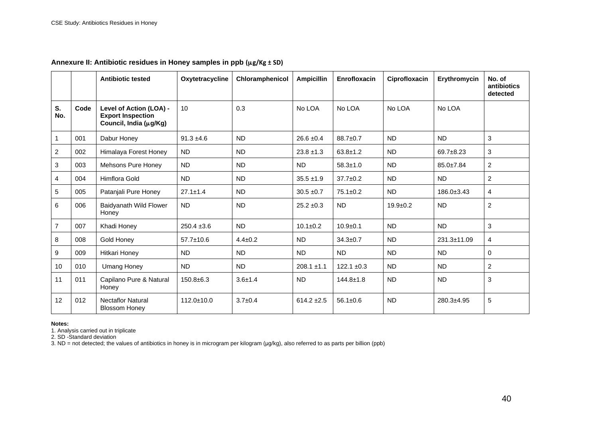|                |      | <b>Antibiotic tested</b>                                                      | Oxytetracycline  | Chloramphenicol | <b>Ampicillin</b> | Enrofloxacin    | Ciprofloxacin | Erythromycin     | No. of<br>antibiotics<br>detected |
|----------------|------|-------------------------------------------------------------------------------|------------------|-----------------|-------------------|-----------------|---------------|------------------|-----------------------------------|
| S.<br>No.      | Code | Level of Action (LOA) -<br><b>Export Inspection</b><br>Council, India (µg/Kg) | 10               | 0.3             | No LOA            | No LOA          | No LOA        | No LOA           |                                   |
|                | 001  | Dabur Honey                                                                   | $91.3 \pm 4.6$   | <b>ND</b>       | $26.6 \pm 0.4$    | 88.7±0.7        | <b>ND</b>     | <b>ND</b>        | 3                                 |
| $\overline{c}$ | 002  | Himalaya Forest Honey                                                         | <b>ND</b>        | <b>ND</b>       | $23.8 \pm 1.3$    | $63.8 \pm 1.2$  | <b>ND</b>     | $69.7 + 8.23$    | 3                                 |
| 3              | 003  | Mehsons Pure Honey                                                            | <b>ND</b>        | <b>ND</b>       | <b>ND</b>         | $58.3 \pm 1.0$  | <b>ND</b>     | 85.0±7.84        | $\overline{2}$                    |
| 4              | 004  | Himflora Gold                                                                 | <b>ND</b>        | <b>ND</b>       | $35.5 \pm 1.9$    | $37.7 \pm 0.2$  | <b>ND</b>     | <b>ND</b>        | 2                                 |
| 5              | 005  | Patanjali Pure Honey                                                          | $27.1 \pm 1.4$   | <b>ND</b>       | $30.5 \pm 0.7$    | $75.1 \pm 0.2$  | <b>ND</b>     | $186.0 \pm 3.43$ | $\overline{4}$                    |
| 6              | 006  | Baidyanath Wild Flower<br>Honey                                               | ND.              | <b>ND</b>       | $25.2 \pm 0.3$    | <b>ND</b>       | $19.9 + 0.2$  | <b>ND</b>        | $\overline{c}$                    |
| $\overline{7}$ | 007  | Khadi Honey                                                                   | $250.4 \pm 3.6$  | <b>ND</b>       | $10.1 \pm 0.2$    | $10.9 + 0.1$    | <b>ND</b>     | <b>ND</b>        | 3                                 |
| 8              | 008  | Gold Honey                                                                    | 57.7±10.6        | $4.4 \pm 0.2$   | <b>ND</b>         | $34.3 \pm 0.7$  | <b>ND</b>     | 231.3±11.09      | $\overline{4}$                    |
| 9              | 009  | Hitkari Honey                                                                 | <b>ND</b>        | <b>ND</b>       | <b>ND</b>         | <b>ND</b>       | <b>ND</b>     | <b>ND</b>        | 0                                 |
| 10             | 010  | <b>Umang Honey</b>                                                            | <b>ND</b>        | <b>ND</b>       | $208.1 \pm 1.1$   | $122.1 \pm 0.3$ | <b>ND</b>     | <b>ND</b>        | 2                                 |
| 11             | 011  | Capilano Pure & Natural<br>Honey                                              | $150.8 + 6.3$    | $3.6 + 1.4$     | <b>ND</b>         | $144.8 \pm 1.8$ | <b>ND</b>     | <b>ND</b>        | 3                                 |
| 12             | 012  | <b>Nectaflor Natural</b><br><b>Blossom Honey</b>                              | $112.0 \pm 10.0$ | $3.7 \pm 0.4$   | $614.2 \pm 2.5$   | $56.1 \pm 0.6$  | <b>ND</b>     | 280.3±4.95       | 5                                 |

#### **Annexure II: Antibiotic residues in Honey samples in ppb (μg/Kg ± SD)**

**Notes:**<br>1. Analysis carried out in triplicate<br>2. SD -Standard deviation

3. ND = not detected; the values of antibiotics in honey is in microgram per kilogram (μg/kg), also referred to as parts per billion (ppb)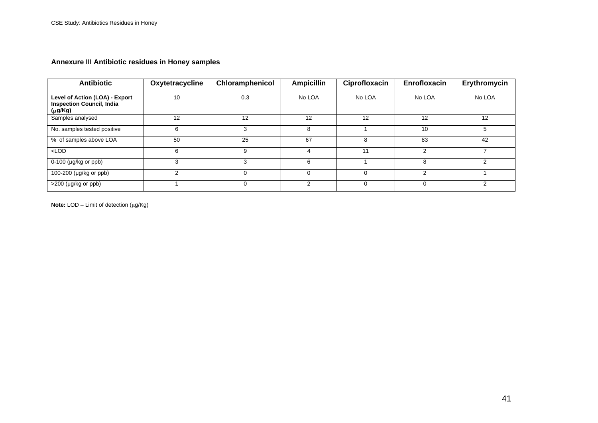# **Annexure III Antibiotic residues in Honey samples**

| <b>Antibiotic</b>                                                             | Oxytetracycline | Chloramphenicol | <b>Ampicillin</b> | Ciprofloxacin | Enrofloxacin | Erythromycin |
|-------------------------------------------------------------------------------|-----------------|-----------------|-------------------|---------------|--------------|--------------|
| Level of Action (LOA) - Export<br><b>Inspection Council, India</b><br>(μg/Kg) | 10              | 0.3             | No LOA            | No LOA        | No LOA       | No LOA       |
| Samples analysed                                                              | 12              | 12              | 12                | 12            | 12           | 12           |
| No. samples tested positive                                                   | 6               | 3               | 8                 |               | 10           | 5            |
| % of samples above LOA                                                        | 50              | 25              | 67                | 8             | 83           | 42           |
| $<$ LOD                                                                       | 6               | 9               |                   |               |              |              |
| $0-100$ (µg/kg or ppb)                                                        |                 | 3               | 6                 |               |              | 2            |
| 100-200 (μg/kg or ppb)                                                        | $\mathcal{P}$   | $\Omega$        | $\Omega$          |               | 2            |              |
| $>200$ (µg/kg or ppb)                                                         |                 | $\Omega$        | C                 |               |              | ົ            |

**Note:** LOD – Limit of detection (μg/Kg)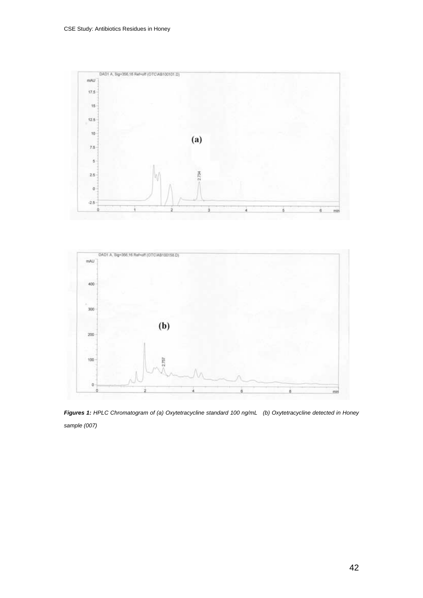



*Figures 1: HPLC Chromatogram of (a) Oxytetracycline standard 100 ng/mL (b) Oxytetracycline detected in Honey sample (007)*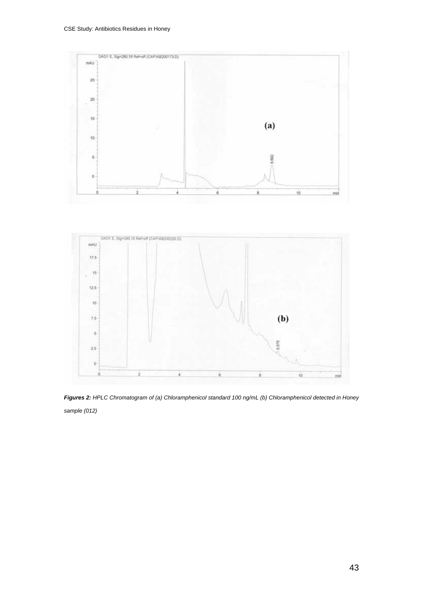



*Figures 2: HPLC Chromatogram of (a) Chloramphenicol standard 100 ng/mL (b) Chloramphenicol detected in Honey sample (012)*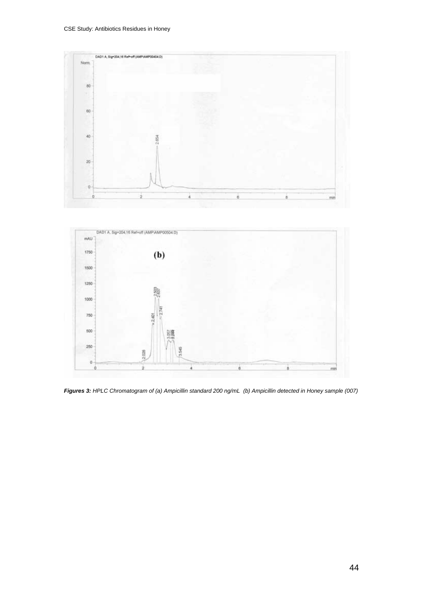



*Figures 3: HPLC Chromatogram of (a) Ampicillin standard 200 ng/mL (b) Ampicillin detected in Honey sample (007)*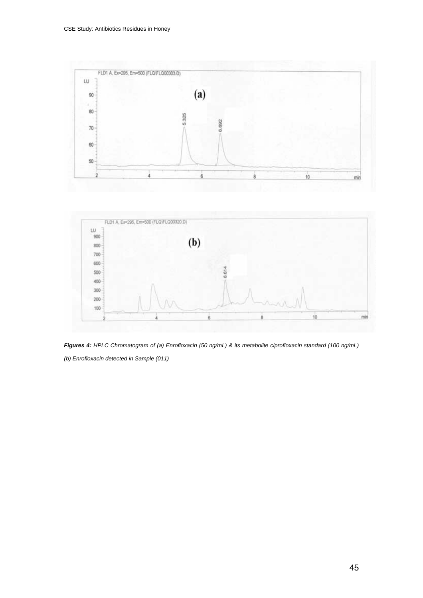





*(b) Enrofloxacin detected in Sample (011)*